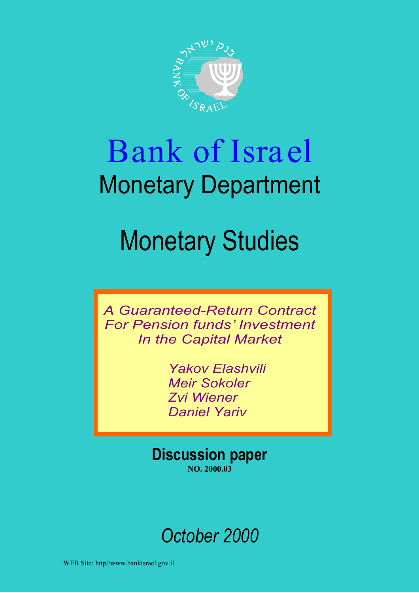

# Bank of Israel Monetary Department

# Monetary Studies

*A Guaranteed-Return Contract For Pension funds' Investment In the Capital Market*

> *Yakov Elashvili Meir Sokoler Zvi Wiener Daniel Yariv*

**Discussion paper NO. 2000.03**

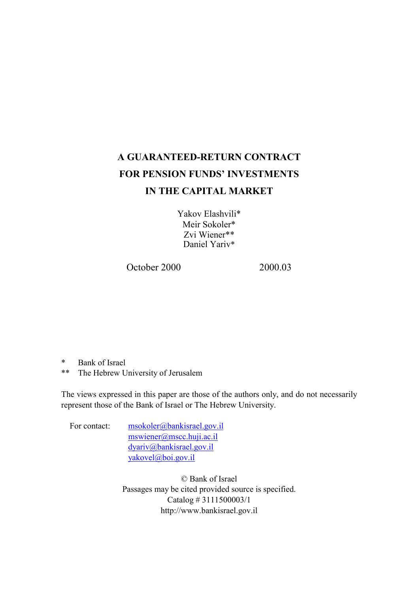# **A GUARANTEED-RETURN CONTRACT FOR PENSION FUNDS' INVESTMENTS IN THE CAPITAL MARKET**

Yakov Elashvili\* Meir Sokoler\* Zvi Wiener\*\* Daniel Yariv\*

October 2000 2000 03

- \* Bank of Israel
- \*\* The Hebrew University of Jerusalem

The views expressed in this paper are those of the authors only, and do not necessarily represent those of the Bank of Israel or The Hebrew University.

For contact: msokoler@bankisrael.gov.il mswiener@mscc.huji.ac.il dyariv@bankisrael.gov.il yakovel@boi.gov.il

> © Bank of Israel Passages may be cited provided source is specified. Catalog # 3111500003/1 http://www.bankisrael.gov.il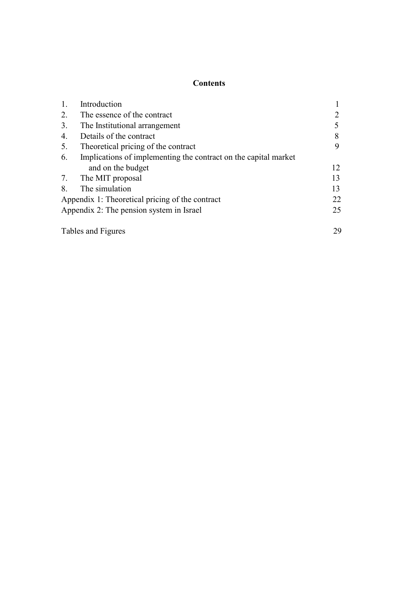## **Contents**

| 1. | Introduction                                                    |    |
|----|-----------------------------------------------------------------|----|
| 2. | The essence of the contract                                     |    |
| 3. | The Institutional arrangement                                   |    |
| 4. | Details of the contract                                         | 8  |
| 5. | Theoretical pricing of the contract                             |    |
| 6. | Implications of implementing the contract on the capital market |    |
|    | and on the budget                                               | 12 |
| 7. | The MIT proposal                                                | 13 |
| 8. | The simulation                                                  | 13 |
|    | Appendix 1: Theoretical pricing of the contract                 | 22 |
|    | Appendix 2: The pension system in Israel                        | 25 |
|    | Tables and Figures                                              | 29 |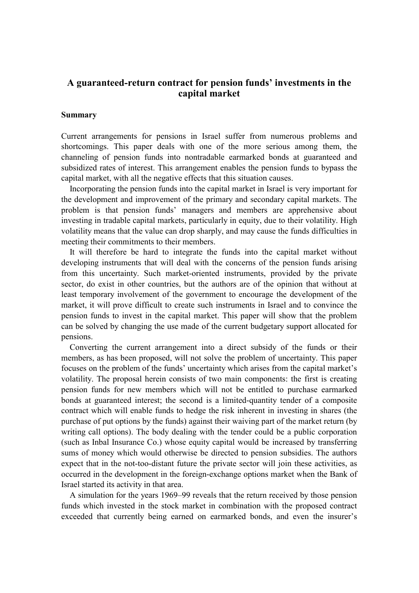## **A guaranteed-return contract for pension funds' investments in the capital market**

#### **Summary**

Current arrangements for pensions in Israel suffer from numerous problems and shortcomings. This paper deals with one of the more serious among them, the channeling of pension funds into nontradable earmarked bonds at guaranteed and subsidized rates of interest. This arrangement enables the pension funds to bypass the capital market, with all the negative effects that this situation causes.

Incorporating the pension funds into the capital market in Israel is very important for the development and improvement of the primary and secondary capital markets. The problem is that pension funds' managers and members are apprehensive about investing in tradable capital markets, particularly in equity, due to their volatility. High volatility means that the value can drop sharply, and may cause the funds difficulties in meeting their commitments to their members.

It will therefore be hard to integrate the funds into the capital market without developing instruments that will deal with the concerns of the pension funds arising from this uncertainty. Such market-oriented instruments, provided by the private sector, do exist in other countries, but the authors are of the opinion that without at least temporary involvement of the government to encourage the development of the market, it will prove difficult to create such instruments in Israel and to convince the pension funds to invest in the capital market. This paper will show that the problem can be solved by changing the use made of the current budgetary support allocated for pensions.

Converting the current arrangement into a direct subsidy of the funds or their members, as has been proposed, will not solve the problem of uncertainty. This paper focuses on the problem of the funds' uncertainty which arises from the capital market's volatility. The proposal herein consists of two main components: the first is creating pension funds for new members which will not be entitled to purchase earmarked bonds at guaranteed interest; the second is a limited-quantity tender of a composite contract which will enable funds to hedge the risk inherent in investing in shares (the purchase of put options by the funds) against their waiving part of the market return (by writing call options). The body dealing with the tender could be a public corporation (such as Inbal Insurance Co.) whose equity capital would be increased by transferring sums of money which would otherwise be directed to pension subsidies. The authors expect that in the not-too-distant future the private sector will join these activities, as occurred in the development in the foreign-exchange options market when the Bank of Israel started its activity in that area.

A simulation for the years 1969–99 reveals that the return received by those pension funds which invested in the stock market in combination with the proposed contract exceeded that currently being earned on earmarked bonds, and even the insurer's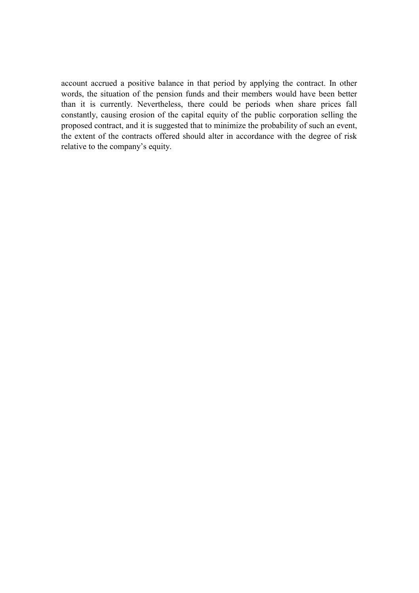account accrued a positive balance in that period by applying the contract. In other words, the situation of the pension funds and their members would have been better than it is currently. Nevertheless, there could be periods when share prices fall constantly, causing erosion of the capital equity of the public corporation selling the proposed contract, and it is suggested that to minimize the probability of such an event, the extent of the contracts offered should alter in accordance with the degree of risk relative to the company's equity.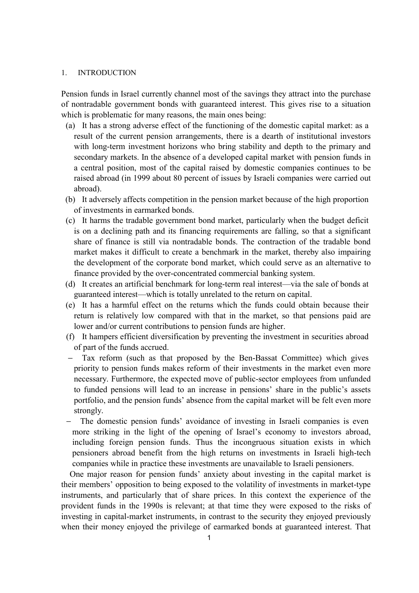#### 1. INTRODUCTION

Pension funds in Israel currently channel most of the savings they attract into the purchase of nontradable government bonds with guaranteed interest. This gives rise to a situation which is problematic for many reasons, the main ones being:

- (a) It has a strong adverse effect of the functioning of the domestic capital market: as a result of the current pension arrangements, there is a dearth of institutional investors with long-term investment horizons who bring stability and depth to the primary and secondary markets. In the absence of a developed capital market with pension funds in a central position, most of the capital raised by domestic companies continues to be raised abroad (in 1999 about 80 percent of issues by Israeli companies were carried out abroad).
- (b) It adversely affects competition in the pension market because of the high proportion of investments in earmarked bonds.
- (c) It harms the tradable government bond market, particularly when the budget deficit is on a declining path and its financing requirements are falling, so that a significant share of finance is still via nontradable bonds. The contraction of the tradable bond market makes it difficult to create a benchmark in the market, thereby also impairing the development of the corporate bond market, which could serve as an alternative to finance provided by the over-concentrated commercial banking system.
- (d) It creates an artificial benchmark for long-term real interest—via the sale of bonds at guaranteed interest—which is totally unrelated to the return on capital.
- (e) It has a harmful effect on the returns which the funds could obtain because their return is relatively low compared with that in the market, so that pensions paid are lower and/or current contributions to pension funds are higher.
- (f) It hampers efficient diversification by preventing the investment in securities abroad of part of the funds accrued.
- − Tax reform (such as that proposed by the Ben-Bassat Committee) which gives priority to pension funds makes reform of their investments in the market even more necessary. Furthermore, the expected move of public-sector employees from unfunded to funded pensions will lead to an increase in pensions' share in the public's assets portfolio, and the pension funds' absence from the capital market will be felt even more strongly.
- The domestic pension funds' avoidance of investing in Israeli companies is even more striking in the light of the opening of Israel's economy to investors abroad, including foreign pension funds. Thus the incongruous situation exists in which pensioners abroad benefit from the high returns on investments in Israeli high-tech companies while in practice these investments are unavailable to Israeli pensioners.

One major reason for pension funds' anxiety about investing in the capital market is their members' opposition to being exposed to the volatility of investments in market-type instruments, and particularly that of share prices. In this context the experience of the provident funds in the 1990s is relevant; at that time they were exposed to the risks of investing in capital-market instruments, in contrast to the security they enjoyed previously when their money enjoyed the privilege of earmarked bonds at guaranteed interest. That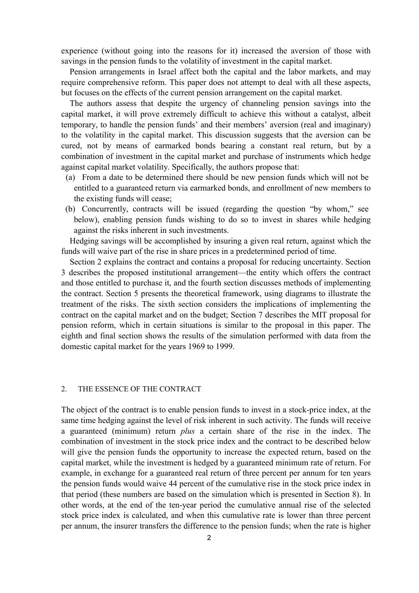experience (without going into the reasons for it) increased the aversion of those with savings in the pension funds to the volatility of investment in the capital market.

Pension arrangements in Israel affect both the capital and the labor markets, and may require comprehensive reform. This paper does not attempt to deal with all these aspects, but focuses on the effects of the current pension arrangement on the capital market.

The authors assess that despite the urgency of channeling pension savings into the capital market, it will prove extremely difficult to achieve this without a catalyst, albeit temporary, to handle the pension funds' and their members' aversion (real and imaginary) to the volatility in the capital market. This discussion suggests that the aversion can be cured, not by means of earmarked bonds bearing a constant real return, but by a combination of investment in the capital market and purchase of instruments which hedge against capital market volatility. Specifically, the authors propose that:

- (a) From a date to be determined there should be new pension funds which will not be entitled to a guaranteed return via earmarked bonds, and enrollment of new members to the existing funds will cease;
- (b) Concurrently, contracts will be issued (regarding the question "by whom," see below), enabling pension funds wishing to do so to invest in shares while hedging against the risks inherent in such investments.

Hedging savings will be accomplished by insuring a given real return, against which the funds will waive part of the rise in share prices in a predetermined period of time.

Section 2 explains the contract and contains a proposal for reducing uncertainty. Section 3 describes the proposed institutional arrangement—the entity which offers the contract and those entitled to purchase it, and the fourth section discusses methods of implementing the contract. Section 5 presents the theoretical framework, using diagrams to illustrate the treatment of the risks. The sixth section considers the implications of implementing the contract on the capital market and on the budget; Section 7 describes the MIT proposal for pension reform, which in certain situations is similar to the proposal in this paper. The eighth and final section shows the results of the simulation performed with data from the domestic capital market for the years 1969 to 1999.

#### 2. THE ESSENCE OF THE CONTRACT

The object of the contract is to enable pension funds to invest in a stock-price index, at the same time hedging against the level of risk inherent in such activity. The funds will receive a guaranteed (minimum) return *plus* a certain share of the rise in the index. The combination of investment in the stock price index and the contract to be described below will give the pension funds the opportunity to increase the expected return, based on the capital market, while the investment is hedged by a guaranteed minimum rate of return. For example, in exchange for a guaranteed real return of three percent per annum for ten years the pension funds would waive 44 percent of the cumulative rise in the stock price index in that period (these numbers are based on the simulation which is presented in Section 8). In other words, at the end of the ten-year period the cumulative annual rise of the selected stock price index is calculated, and when this cumulative rate is lower than three percent per annum, the insurer transfers the difference to the pension funds; when the rate is higher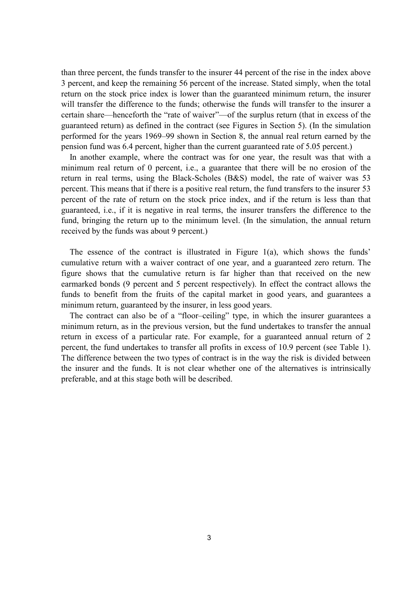than three percent, the funds transfer to the insurer 44 percent of the rise in the index above 3 percent, and keep the remaining 56 percent of the increase. Stated simply, when the total return on the stock price index is lower than the guaranteed minimum return, the insurer will transfer the difference to the funds; otherwise the funds will transfer to the insurer a certain share—henceforth the "rate of waiver"—of the surplus return (that in excess of the guaranteed return) as defined in the contract (see Figures in Section 5). (In the simulation performed for the years 1969–99 shown in Section 8, the annual real return earned by the pension fund was 6.4 percent, higher than the current guaranteed rate of 5.05 percent.)

In another example, where the contract was for one year, the result was that with a minimum real return of 0 percent, i.e., a guarantee that there will be no erosion of the return in real terms, using the Black-Scholes (B&S) model, the rate of waiver was 53 percent. This means that if there is a positive real return, the fund transfers to the insurer 53 percent of the rate of return on the stock price index, and if the return is less than that guaranteed, i.e., if it is negative in real terms, the insurer transfers the difference to the fund, bringing the return up to the minimum level. (In the simulation, the annual return received by the funds was about 9 percent.)

The essence of the contract is illustrated in Figure 1(a), which shows the funds' cumulative return with a waiver contract of one year, and a guaranteed zero return. The figure shows that the cumulative return is far higher than that received on the new earmarked bonds (9 percent and 5 percent respectively). In effect the contract allows the funds to benefit from the fruits of the capital market in good years, and guarantees a minimum return, guaranteed by the insurer, in less good years.

The contract can also be of a "floor–ceiling" type, in which the insurer guarantees a minimum return, as in the previous version, but the fund undertakes to transfer the annual return in excess of a particular rate. For example, for a guaranteed annual return of 2 percent, the fund undertakes to transfer all profits in excess of 10.9 percent (see Table 1). The difference between the two types of contract is in the way the risk is divided between the insurer and the funds. It is not clear whether one of the alternatives is intrinsically preferable, and at this stage both will be described.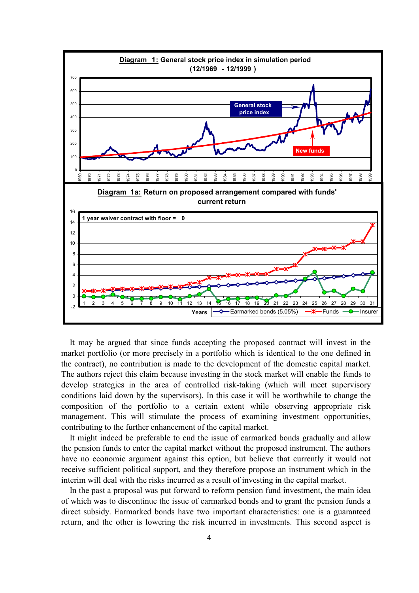

It may be argued that since funds accepting the proposed contract will invest in the market portfolio (or more precisely in a portfolio which is identical to the one defined in the contract), no contribution is made to the development of the domestic capital market. The authors reject this claim because investing in the stock market will enable the funds to develop strategies in the area of controlled risk-taking (which will meet supervisory conditions laid down by the supervisors). In this case it will be worthwhile to change the composition of the portfolio to a certain extent while observing appropriate risk management. This will stimulate the process of examining investment opportunities, contributing to the further enhancement of the capital market.

It might indeed be preferable to end the issue of earmarked bonds gradually and allow the pension funds to enter the capital market without the proposed instrument. The authors have no economic argument against this option, but believe that currently it would not receive sufficient political support, and they therefore propose an instrument which in the interim will deal with the risks incurred as a result of investing in the capital market.

In the past a proposal was put forward to reform pension fund investment, the main idea of which was to discontinue the issue of earmarked bonds and to grant the pension funds a direct subsidy. Earmarked bonds have two important characteristics: one is a guaranteed return, and the other is lowering the risk incurred in investments. This second aspect is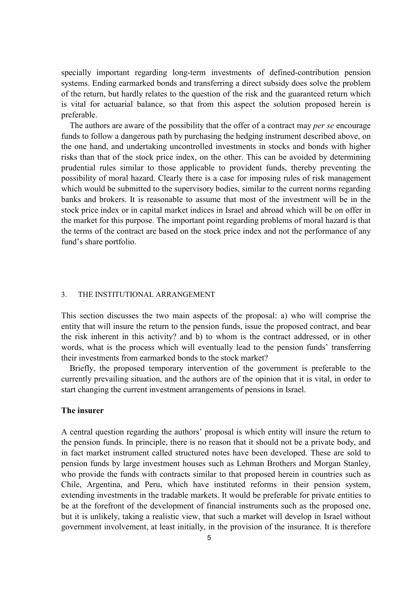specially important regarding long-term investments of defined-contribution pension systems. Ending earmarked bonds and transferring a direct subsidy does solve the problem of the return, but hardly relates to the question of the risk and the guaranteed return which is vital for actuarial balance, so that from this aspect the solution proposed herein is preferable.

The authors are aware of the possibility that the offer of a contract may *per se* encourage funds to follow a dangerous path by purchasing the hedging instrument described above, on the one hand, and undertaking uncontrolled investments in stocks and bonds with higher risks than that of the stock price index, on the other. This can be avoided by determining prudential rules similar to those applicable to provident funds, thereby preventing the possibility of moral hazard. Clearly there is a case for imposing rules of risk management which would be submitted to the supervisory bodies, similar to the current norms regarding banks and brokers. It is reasonable to assume that most of the investment will be in the stock price index or in capital market indices in Israel and abroad which will be on offer in the market for this purpose. The important point regarding problems of moral hazard is that the terms of the contract are based on the stock price index and not the performance of any fund's share portfolio.

#### 3. THE INSTITUTIONAL ARRANGEMENT

This section discusses the two main aspects of the proposal: a) who will comprise the entity that will insure the return to the pension funds, issue the proposed contract, and bear the risk inherent in this activity? and b) to whom is the contract addressed, or in other words, what is the process which will eventually lead to the pension funds' transferring their investments from earmarked bonds to the stock market?

Briefly, the proposed temporary intervention of the government is preferable to the currently prevailing situation, and the authors are of the opinion that it is vital, in order to start changing the current investment arrangements of pensions in Israel.

#### **The insurer**

A central question regarding the authors' proposal is which entity will insure the return to the pension funds. In principle, there is no reason that it should not be a private body, and in fact market instrument called structured notes have been developed. These are sold to pension funds by large investment houses such as Lehman Brothers and Morgan Stanley, who provide the funds with contracts similar to that proposed herein in countries such as Chile, Argentina, and Peru, which have instituted reforms in their pension system, extending investments in the tradable markets. It would be preferable for private entities to be at the forefront of the development of financial instruments such as the proposed one, but it is unlikely, taking a realistic view, that such a market will develop in Israel without government involvement, at least initially, in the provision of the insurance. It is therefore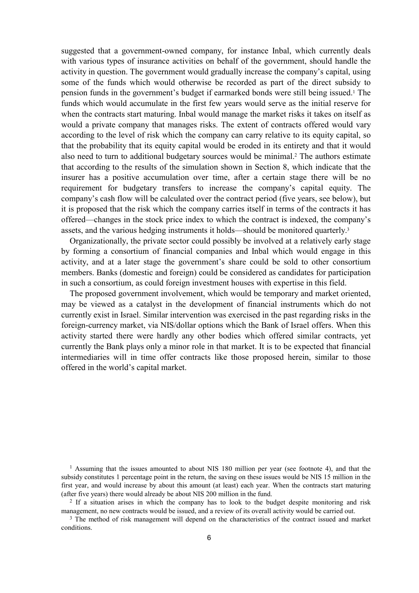suggested that a government-owned company, for instance Inbal, which currently deals with various types of insurance activities on behalf of the government, should handle the activity in question. The government would gradually increase the company's capital, using some of the funds which would otherwise be recorded as part of the direct subsidy to pension funds in the government's budget if earmarked bonds were still being issued.1 The funds which would accumulate in the first few years would serve as the initial reserve for when the contracts start maturing. Inbal would manage the market risks it takes on itself as would a private company that manages risks. The extent of contracts offered would vary according to the level of risk which the company can carry relative to its equity capital, so that the probability that its equity capital would be eroded in its entirety and that it would also need to turn to additional budgetary sources would be minimal.2 The authors estimate that according to the results of the simulation shown in Section 8, which indicate that the insurer has a positive accumulation over time, after a certain stage there will be no requirement for budgetary transfers to increase the company's capital equity. The company's cash flow will be calculated over the contract period (five years, see below), but it is proposed that the risk which the company carries itself in terms of the contracts it has offered—changes in the stock price index to which the contract is indexed, the company's assets, and the various hedging instruments it holds—should be monitored quarterly.3

Organizationally, the private sector could possibly be involved at a relatively early stage by forming a consortium of financial companies and Inbal which would engage in this activity, and at a later stage the government's share could be sold to other consortium members. Banks (domestic and foreign) could be considered as candidates for participation in such a consortium, as could foreign investment houses with expertise in this field.

The proposed government involvement, which would be temporary and market oriented, may be viewed as a catalyst in the development of financial instruments which do not currently exist in Israel. Similar intervention was exercised in the past regarding risks in the foreign-currency market, via NIS/dollar options which the Bank of Israel offers. When this activity started there were hardly any other bodies which offered similar contracts, yet currently the Bank plays only a minor role in that market. It is to be expected that financial intermediaries will in time offer contracts like those proposed herein, similar to those offered in the world's capital market.

1 Assuming that the issues amounted to about NIS 180 million per year (see footnote 4), and that the subsidy constitutes 1 percentage point in the return, the saving on these issues would be NIS 15 million in the first year, and would increase by about this amount (at least) each year. When the contracts start maturing (after five years) there would already be about NIS 200 million in the fund.

<sup>2</sup> If a situation arises in which the company has to look to the budget despite monitoring and risk management, no new contracts would be issued, and a review of its overall activity would be carried out.

<sup>3</sup> The method of risk management will depend on the characteristics of the contract issued and market conditions.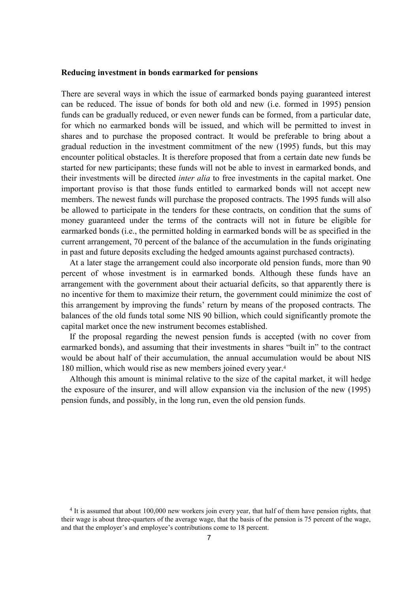#### **Reducing investment in bonds earmarked for pensions**

There are several ways in which the issue of earmarked bonds paying guaranteed interest can be reduced. The issue of bonds for both old and new (i.e. formed in 1995) pension funds can be gradually reduced, or even newer funds can be formed, from a particular date, for which no earmarked bonds will be issued, and which will be permitted to invest in shares and to purchase the proposed contract. It would be preferable to bring about a gradual reduction in the investment commitment of the new (1995) funds, but this may encounter political obstacles. It is therefore proposed that from a certain date new funds be started for new participants; these funds will not be able to invest in earmarked bonds, and their investments will be directed *inter alia* to free investments in the capital market. One important proviso is that those funds entitled to earmarked bonds will not accept new members. The newest funds will purchase the proposed contracts. The 1995 funds will also be allowed to participate in the tenders for these contracts, on condition that the sums of money guaranteed under the terms of the contracts will not in future be eligible for earmarked bonds (i.e., the permitted holding in earmarked bonds will be as specified in the current arrangement, 70 percent of the balance of the accumulation in the funds originating in past and future deposits excluding the hedged amounts against purchased contracts).

At a later stage the arrangement could also incorporate old pension funds, more than 90 percent of whose investment is in earmarked bonds. Although these funds have an arrangement with the government about their actuarial deficits, so that apparently there is no incentive for them to maximize their return, the government could minimize the cost of this arrangement by improving the funds' return by means of the proposed contracts. The balances of the old funds total some NIS 90 billion, which could significantly promote the capital market once the new instrument becomes established.

If the proposal regarding the newest pension funds is accepted (with no cover from earmarked bonds), and assuming that their investments in shares "built in" to the contract would be about half of their accumulation, the annual accumulation would be about NIS 180 million, which would rise as new members joined every year.4

Although this amount is minimal relative to the size of the capital market, it will hedge the exposure of the insurer, and will allow expansion via the inclusion of the new (1995) pension funds, and possibly, in the long run, even the old pension funds.

<sup>&</sup>lt;sup>4</sup> It is assumed that about 100,000 new workers join every year, that half of them have pension rights, that their wage is about three-quarters of the average wage, that the basis of the pension is 75 percent of the wage, and that the employer's and employee's contributions come to 18 percent.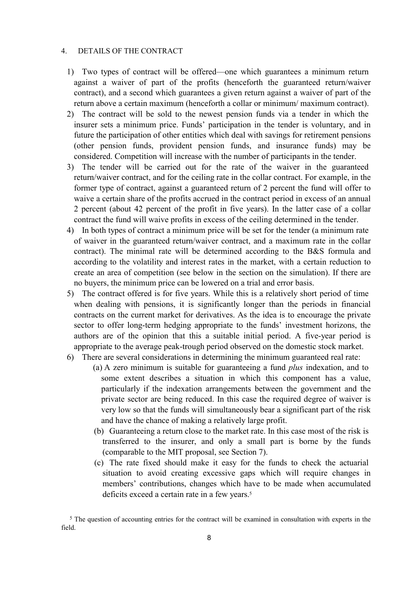#### 4. DETAILS OF THE CONTRACT

- 1) Two types of contract will be offered—one which guarantees a minimum return against a waiver of part of the profits (henceforth the guaranteed return/waiver contract), and a second which guarantees a given return against a waiver of part of the return above a certain maximum (henceforth a collar or minimum/ maximum contract).
- 2) The contract will be sold to the newest pension funds via a tender in which the insurer sets a minimum price. Funds' participation in the tender is voluntary, and in future the participation of other entities which deal with savings for retirement pensions (other pension funds, provident pension funds, and insurance funds) may be considered. Competition will increase with the number of participants in the tender.
- 3) The tender will be carried out for the rate of the waiver in the guaranteed return/waiver contract, and for the ceiling rate in the collar contract. For example, in the former type of contract, against a guaranteed return of 2 percent the fund will offer to waive a certain share of the profits accrued in the contract period in excess of an annual 2 percent (about 42 percent of the profit in five years). In the latter case of a collar contract the fund will waive profits in excess of the ceiling determined in the tender.
- 4) In both types of contract a minimum price will be set for the tender (a minimum rate of waiver in the guaranteed return/waiver contract, and a maximum rate in the collar contract). The minimal rate will be determined according to the B&S formula and according to the volatility and interest rates in the market, with a certain reduction to create an area of competition (see below in the section on the simulation). If there are no buyers, the minimum price can be lowered on a trial and error basis.
- 5) The contract offered is for five years. While this is a relatively short period of time when dealing with pensions, it is significantly longer than the periods in financial contracts on the current market for derivatives. As the idea is to encourage the private sector to offer long-term hedging appropriate to the funds' investment horizons, the authors are of the opinion that this a suitable initial period. A five-year period is appropriate to the average peak-trough period observed on the domestic stock market.
- 6) There are several considerations in determining the minimum guaranteed real rate:
	- (a) A zero minimum is suitable for guaranteeing a fund *plus* indexation, and to some extent describes a situation in which this component has a value, particularly if the indexation arrangements between the government and the private sector are being reduced. In this case the required degree of waiver is very low so that the funds will simultaneously bear a significant part of the risk and have the chance of making a relatively large profit.
	- (b) Guaranteeing a return close to the market rate. In this case most of the risk is transferred to the insurer, and only a small part is borne by the funds (comparable to the MIT proposal, see Section 7).
	- (c) The rate fixed should make it easy for the funds to check the actuarial situation to avoid creating excessive gaps which will require changes in members' contributions, changes which have to be made when accumulated deficits exceed a certain rate in a few years.<sup>5</sup>

<sup>5</sup> The question of accounting entries for the contract will be examined in consultation with experts in the field.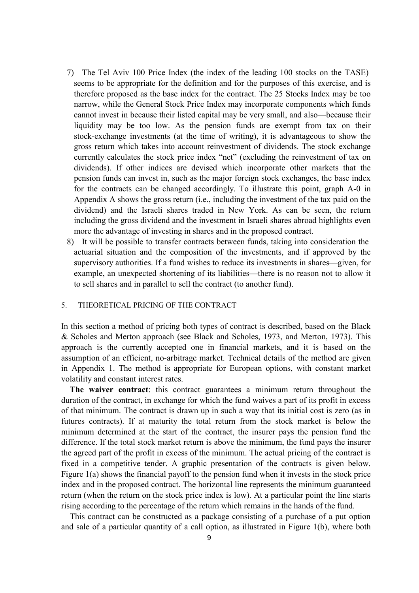- 7) The Tel Aviv 100 Price Index (the index of the leading 100 stocks on the TASE) seems to be appropriate for the definition and for the purposes of this exercise, and is therefore proposed as the base index for the contract. The 25 Stocks Index may be too narrow, while the General Stock Price Index may incorporate components which funds cannot invest in because their listed capital may be very small, and also—because their liquidity may be too low. As the pension funds are exempt from tax on their stock-exchange investments (at the time of writing), it is advantageous to show the gross return which takes into account reinvestment of dividends. The stock exchange currently calculates the stock price index "net" (excluding the reinvestment of tax on dividends). If other indices are devised which incorporate other markets that the pension funds can invest in, such as the major foreign stock exchanges, the base index for the contracts can be changed accordingly. To illustrate this point, graph A-0 in Appendix A shows the gross return (i.e., including the investment of the tax paid on the dividend) and the Israeli shares traded in New York. As can be seen, the return including the gross dividend and the investment in Israeli shares abroad highlights even more the advantage of investing in shares and in the proposed contract.
- 8) It will be possible to transfer contracts between funds, taking into consideration the actuarial situation and the composition of the investments, and if approved by the supervisory authorities. If a fund wishes to reduce its investments in shares—given, for example, an unexpected shortening of its liabilities—there is no reason not to allow it to sell shares and in parallel to sell the contract (to another fund).

#### 5. THEORETICAL PRICING OF THE CONTRACT

In this section a method of pricing both types of contract is described, based on the Black & Scholes and Merton approach (see Black and Scholes, 1973, and Merton, 1973). This approach is the currently accepted one in financial markets, and it is based on the assumption of an efficient, no-arbitrage market. Technical details of the method are given in Appendix 1. The method is appropriate for European options, with constant market volatility and constant interest rates.

**The waiver contract**: this contract guarantees a minimum return throughout the duration of the contract, in exchange for which the fund waives a part of its profit in excess of that minimum. The contract is drawn up in such a way that its initial cost is zero (as in futures contracts). If at maturity the total return from the stock market is below the minimum determined at the start of the contract, the insurer pays the pension fund the difference. If the total stock market return is above the minimum, the fund pays the insurer the agreed part of the profit in excess of the minimum. The actual pricing of the contract is fixed in a competitive tender. A graphic presentation of the contracts is given below. Figure 1(a) shows the financial payoff to the pension fund when it invests in the stock price index and in the proposed contract. The horizontal line represents the minimum guaranteed return (when the return on the stock price index is low). At a particular point the line starts rising according to the percentage of the return which remains in the hands of the fund.

This contract can be constructed as a package consisting of a purchase of a put option and sale of a particular quantity of a call option, as illustrated in Figure 1(b), where both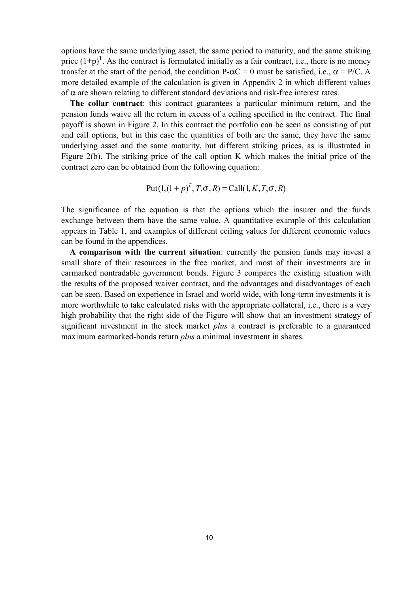options have the same underlying asset, the same period to maturity, and the same striking price  $(1+p)^T$ . As the contract is formulated initially as a fair contract, i.e., there is no money transfer at the start of the period, the condition  $P-\alpha C = 0$  must be satisfied, i.e.,  $\alpha = P/C$ . A more detailed example of the calculation is given in Appendix 2 in which different values of α are shown relating to different standard deviations and risk-free interest rates.

**The collar contract**: this contract guarantees a particular minimum return, and the pension funds waive all the return in excess of a ceiling specified in the contract. The final payoff is shown in Figure 2. In this contract the portfolio can be seen as consisting of put and call options, but in this case the quantities of both are the same, they have the same underlying asset and the same maturity, but different striking prices, as is illustrated in Figure 2(b). The striking price of the call option K which makes the initial price of the contract zero can be obtained from the following equation:

Put 
$$
(1,(1+p)^T, T, \sigma, R)
$$
 = Call  $(1, K, T, \sigma, R)$ 

The significance of the equation is that the options which the insurer and the funds exchange between them have the same value. A quantitative example of this calculation appears in Table 1, and examples of different ceiling values for different economic values can be found in the appendices.

**A comparison with the current situation**: currently the pension funds may invest a small share of their resources in the free market, and most of their investments are in earmarked nontradable government bonds. Figure 3 compares the existing situation with the results of the proposed waiver contract, and the advantages and disadvantages of each can be seen. Based on experience in Israel and world wide, with long-term investments it is more worthwhile to take calculated risks with the appropriate collateral, i.e., there is a very high probability that the right side of the Figure will show that an investment strategy of significant investment in the stock market *plus* a contract is preferable to a guaranteed maximum earmarked-bonds return *plus* a minimal investment in shares.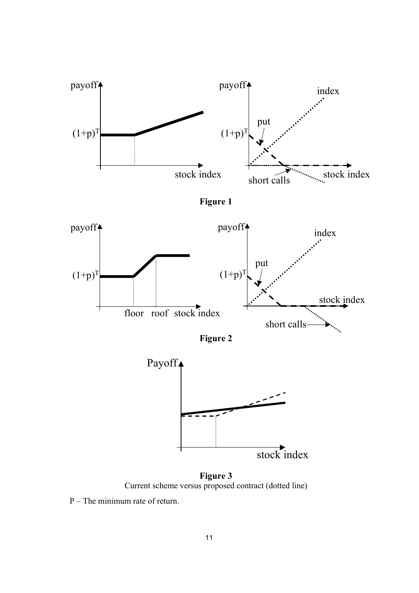





**Figure 3** Current scheme versus proposed contract (dotted line)

P – The minimum rate of return.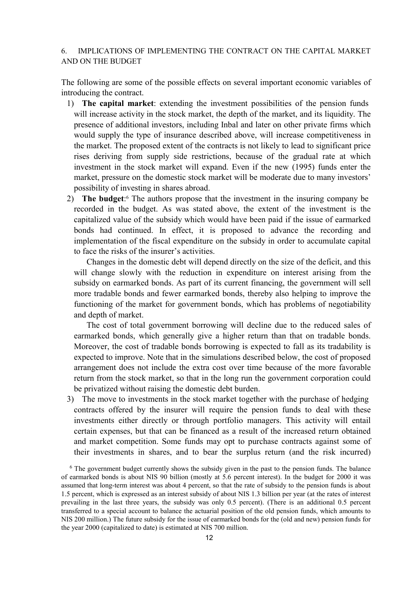#### 6. IMPLICATIONS OF IMPLEMENTING THE CONTRACT ON THE CAPITAL MARKET AND ON THE BUDGET

The following are some of the possible effects on several important economic variables of introducing the contract.

- 1) **The capital market**: extending the investment possibilities of the pension funds will increase activity in the stock market, the depth of the market, and its liquidity. The presence of additional investors, including Inbal and later on other private firms which would supply the type of insurance described above, will increase competitiveness in the market. The proposed extent of the contracts is not likely to lead to significant price rises deriving from supply side restrictions, because of the gradual rate at which investment in the stock market will expand. Even if the new (1995) funds enter the market, pressure on the domestic stock market will be moderate due to many investors' possibility of investing in shares abroad.
- 2) **The budget**:6 The authors propose that the investment in the insuring company be recorded in the budget. As was stated above, the extent of the investment is the capitalized value of the subsidy which would have been paid if the issue of earmarked bonds had continued. In effect, it is proposed to advance the recording and implementation of the fiscal expenditure on the subsidy in order to accumulate capital to face the risks of the insurer's activities.

Changes in the domestic debt will depend directly on the size of the deficit, and this will change slowly with the reduction in expenditure on interest arising from the subsidy on earmarked bonds. As part of its current financing, the government will sell more tradable bonds and fewer earmarked bonds, thereby also helping to improve the functioning of the market for government bonds, which has problems of negotiability and depth of market.

The cost of total government borrowing will decline due to the reduced sales of earmarked bonds, which generally give a higher return than that on tradable bonds. Moreover, the cost of tradable bonds borrowing is expected to fall as its tradability is expected to improve. Note that in the simulations described below, the cost of proposed arrangement does not include the extra cost over time because of the more favorable return from the stock market, so that in the long run the government corporation could be privatized without raising the domestic debt burden.

3) The move to investments in the stock market together with the purchase of hedging contracts offered by the insurer will require the pension funds to deal with these investments either directly or through portfolio managers. This activity will entail certain expenses, but that can be financed as a result of the increased return obtained and market competition. Some funds may opt to purchase contracts against some of their investments in shares, and to bear the surplus return (and the risk incurred)

<sup>&</sup>lt;sup>6</sup> The government budget currently shows the subsidy given in the past to the pension funds. The balance of earmarked bonds is about NIS 90 billion (mostly at 5.6 percent interest). In the budget for 2000 it was assumed that long-term interest was about 4 percent, so that the rate of subsidy to the pension funds is about 1.5 percent, which is expressed as an interest subsidy of about NIS 1.3 billion per year (at the rates of interest prevailing in the last three years, the subsidy was only 0.5 percent). (There is an additional 0.5 percent transferred to a special account to balance the actuarial position of the old pension funds, which amounts to NIS 200 million.) The future subsidy for the issue of earmarked bonds for the (old and new) pension funds for the year 2000 (capitalized to date) is estimated at NIS 700 million.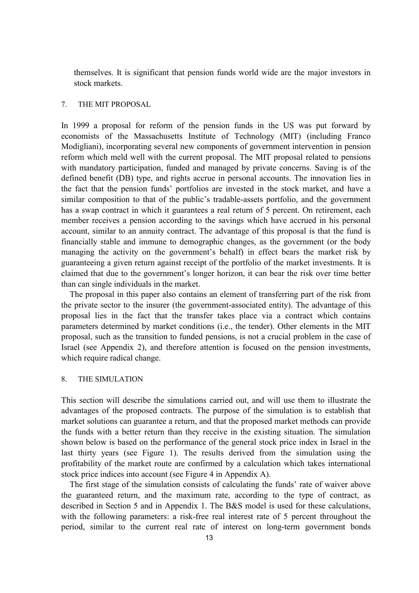themselves. It is significant that pension funds world wide are the major investors in stock markets.

#### 7. THE MIT PROPOSAL

In 1999 a proposal for reform of the pension funds in the US was put forward by economists of the Massachusetts Institute of Technology (MIT) (including Franco Modigliani), incorporating several new components of government intervention in pension reform which meld well with the current proposal. The MIT proposal related to pensions with mandatory participation, funded and managed by private concerns. Saving is of the defined benefit (DB) type, and rights accrue in personal accounts. The innovation lies in the fact that the pension funds' portfolios are invested in the stock market, and have a similar composition to that of the public's tradable-assets portfolio, and the government has a swap contract in which it guarantees a real return of 5 percent. On retirement, each member receives a pension according to the savings which have accrued in his personal account, similar to an annuity contract. The advantage of this proposal is that the fund is financially stable and immune to demographic changes, as the government (or the body managing the activity on the government's behalf) in effect bears the market risk by guaranteeing a given return against receipt of the portfolio of the market investments. It is claimed that due to the government's longer horizon, it can bear the risk over time better than can single individuals in the market.

The proposal in this paper also contains an element of transferring part of the risk from the private sector to the insurer (the government-associated entity). The advantage of this proposal lies in the fact that the transfer takes place via a contract which contains parameters determined by market conditions (i.e., the tender). Other elements in the MIT proposal, such as the transition to funded pensions, is not a crucial problem in the case of Israel (see Appendix 2), and therefore attention is focused on the pension investments, which require radical change.

#### 8. THE SIMULATION

This section will describe the simulations carried out, and will use them to illustrate the advantages of the proposed contracts. The purpose of the simulation is to establish that market solutions can guarantee a return, and that the proposed market methods can provide the funds with a better return than they receive in the existing situation. The simulation shown below is based on the performance of the general stock price index in Israel in the last thirty years (see Figure 1). The results derived from the simulation using the profitability of the market route are confirmed by a calculation which takes international stock price indices into account (see Figure 4 in Appendix A).

The first stage of the simulation consists of calculating the funds' rate of waiver above the guaranteed return, and the maximum rate, according to the type of contract, as described in Section 5 and in Appendix 1. The B&S model is used for these calculations, with the following parameters: a risk-free real interest rate of 5 percent throughout the period, similar to the current real rate of interest on long-term government bonds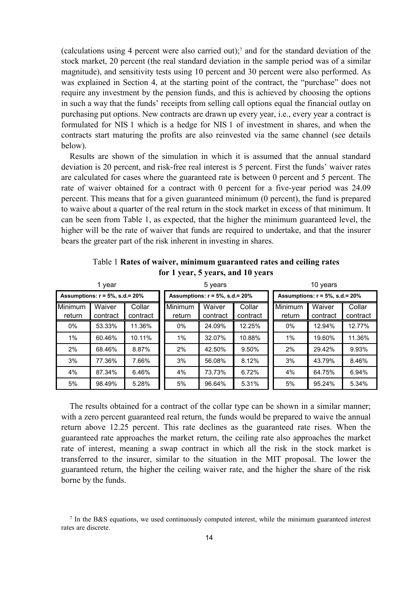(calculations using 4 percent were also carried out);7 and for the standard deviation of the stock market, 20 percent (the real standard deviation in the sample period was of a similar magnitude), and sensitivity tests using 10 percent and 30 percent were also performed. As was explained in Section 4, at the starting point of the contract, the "purchase" does not require any investment by the pension funds, and this is achieved by choosing the options in such a way that the funds' receipts from selling call options equal the financial outlay on purchasing put options. New contracts are drawn up every year, i.e., every year a contract is formulated for NIS 1 which is a hedge for NIS 1 of investment in shares, and when the contracts start maturing the profits are also reinvested via the same channel (see details below).

Results are shown of the simulation in which it is assumed that the annual standard deviation is 20 percent, and risk-free real interest is 5 percent. First the funds' waiver rates are calculated for cases where the guaranteed rate is between 0 percent and 5 percent. The rate of waiver obtained for a contract with 0 percent for a five-year period was 24.09 percent. This means that for a given guaranteed minimum (0 percent), the fund is prepared to waive about a quarter of the real return in the stock market in excess of that minimum. It can be seen from Table 1, as expected, that the higher the minimum guaranteed level, the higher will be the rate of waiver that funds are required to undertake, and that the insurer bears the greater part of the risk inherent in investing in shares.

|                          | 1 year                                   |        | 5 years           |                                   |                    |  | 10 years          |                                   |                    |  |  |
|--------------------------|------------------------------------------|--------|-------------------|-----------------------------------|--------------------|--|-------------------|-----------------------------------|--------------------|--|--|
|                          | Assumptions: $r = 5\%$ , s.d.= 20%       |        |                   | Assumptions: $r = 5%$ , s.d.= 20% |                    |  |                   | Assumptions: $r = 5%$ , s.d.= 20% |                    |  |  |
| <b>Minimum</b><br>return | Waiver<br>Collar<br>contract<br>contract |        | Minimum<br>return | Waiver<br>contract                | Collar<br>contract |  | Minimum<br>return | Waiver<br>contract                | Collar<br>contract |  |  |
| $0\%$                    | 53.33%                                   | 11.36% | 0%                | 24.09%                            | 12.25%             |  | $0\%$             | 12.94%                            | 12.77%             |  |  |
| 1%                       | 60.46%                                   | 10.11% | 1%                | 32.07%                            | 10.88%             |  | 1%                | 19.60%                            | 11.36%             |  |  |
| 2%                       | 68.46%                                   | 8.87%  | 2%                | 42.50%                            | 9.50%              |  | 2%                | 29.42%                            | 9.93%              |  |  |
| 3%                       | 77.36%                                   | 7.66%  | 3%                | 56.08%                            | 8.12%              |  | 3%                | 43.79%                            | 8.46%              |  |  |
| 4%                       | 87.34%                                   | 6.46%  | 4%                | 73.73%                            | 6.72%              |  | 4%                | 64.75%                            | 6.94%              |  |  |
| 5%                       | 98.49%                                   | 5.28%  | 5%                | 96.64%                            | 5.31%              |  | 5%                | 95.24%                            | 5.34%              |  |  |

Table 1 **Rates of waiver, minimum guaranteed rates and ceiling rates for 1 year, 5 years, and 10 years**

The results obtained for a contract of the collar type can be shown in a similar manner; with a zero percent guaranteed real return, the funds would be prepared to waive the annual return above 12.25 percent. This rate declines as the guaranteed rate rises. When the guaranteed rate approaches the market return, the ceiling rate also approaches the market rate of interest, meaning a swap contract in which all the risk in the stock market is transferred to the insurer, similar to the situation in the MIT proposal. The lower the guaranteed return, the higher the ceiling waiver rate, and the higher the share of the risk borne by the funds.

<sup>7</sup> In the B&S equations, we used continuously computed interest, while the minimum guaranteed interest rates are discrete.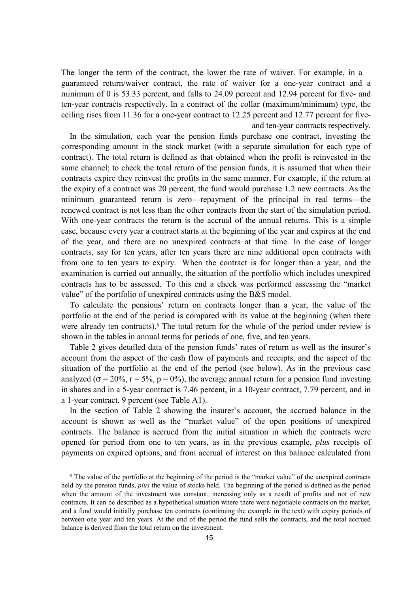The longer the term of the contract, the lower the rate of waiver. For example, in a guaranteed return/waiver contract, the rate of waiver for a one-year contract and a minimum of 0 is 53.33 percent, and falls to 24.09 percent and 12.94 percent for five- and ten-year contracts respectively. In a contract of the collar (maximum/minimum) type, the ceiling rises from 11.36 for a one-year contract to 12.25 percent and 12.77 percent for five and ten-year contracts respectively.

In the simulation, each year the pension funds purchase one contract, investing the corresponding amount in the stock market (with a separate simulation for each type of contract). The total return is defined as that obtained when the profit is reinvested in the same channel; to check the total return of the pension funds, it is assumed that when their contracts expire they reinvest the profits in the same manner. For example, if the return at the expiry of a contract was 20 percent, the fund would purchase 1.2 new contracts. As the minimum guaranteed return is zero—repayment of the principal in real terms—the renewed contract is not less than the other contracts from the start of the simulation period. With one-year contracts the return is the accrual of the annual returns. This is a simple case, because every year a contract starts at the beginning of the year and expires at the end of the year, and there are no unexpired contracts at that time. In the case of longer contracts, say for ten years, after ten years there are nine additional open contracts with from one to ten years to expiry. When the contract is for longer than a year, and the examination is carried out annually, the situation of the portfolio which includes unexpired contracts has to be assessed. To this end a check was performed assessing the "market value" of the portfolio of unexpired contracts using the B&S model.

To calculate the pensions' return on contracts longer than a year, the value of the portfolio at the end of the period is compared with its value at the beginning (when there were already ten contracts).<sup>8</sup> The total return for the whole of the period under review is shown in the tables in annual terms for periods of one, five, and ten years.

Table 2 gives detailed data of the pension funds' rates of return as well as the insurer's account from the aspect of the cash flow of payments and receipts, and the aspect of the situation of the portfolio at the end of the period (see below). As in the previous case analyzed ( $\sigma$  = 20%, r = 5%, p = 0%), the average annual return for a pension fund investing in shares and in a 5-year contract is 7.46 percent, in a 10-year contract, 7.79 percent, and in a 1-year contract, 9 percent (see Table A1).

In the section of Table 2 showing the insurer's account, the accrued balance in the account is shown as well as the "market value" of the open positions of unexpired contracts. The balance is accrued from the initial situation in which the contracts were opened for period from one to ten years, as in the previous example, *plus* receipts of payments on expired options, and from accrual of interest on this balance calculated from

<sup>8</sup> The value of the portfolio at the beginning of the period is the "market value" of the unexpired contracts held by the pension funds, *plus* the value of stocks held. The beginning of the period is defined as the period when the amount of the investment was constant, increasing only as a result of profits and not of new contracts. It can be described as a hypothetical situation where there were negotiable contracts on the market, and a fund would initially purchase ten contracts (continuing the example in the text) with expiry periods of between one year and ten years. At the end of the period the fund sells the contracts, and the total accrued balance is derived from the total return on the investment.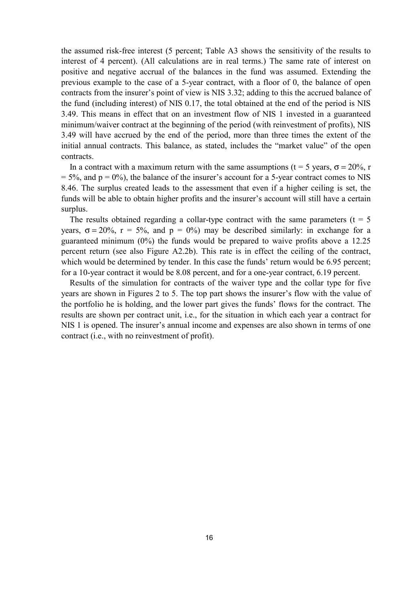the assumed risk-free interest (5 percent; Table A3 shows the sensitivity of the results to interest of 4 percent). (All calculations are in real terms.) The same rate of interest on positive and negative accrual of the balances in the fund was assumed. Extending the previous example to the case of a 5-year contract, with a floor of 0, the balance of open contracts from the insurer's point of view is NIS 3.32; adding to this the accrued balance of the fund (including interest) of NIS 0.17, the total obtained at the end of the period is NIS 3.49. This means in effect that on an investment flow of NIS 1 invested in a guaranteed minimum/waiver contract at the beginning of the period (with reinvestment of profits), NIS 3.49 will have accrued by the end of the period, more than three times the extent of the initial annual contracts. This balance, as stated, includes the "market value" of the open contracts.

In a contract with a maximum return with the same assumptions (t = 5 years,  $\sigma = 20\%$ , r  $= 5\%$ , and  $p = 0\%$ ), the balance of the insurer's account for a 5-year contract comes to NIS 8.46. The surplus created leads to the assessment that even if a higher ceiling is set, the funds will be able to obtain higher profits and the insurer's account will still have a certain surplus.

The results obtained regarding a collar-type contract with the same parameters ( $t = 5$ ) years,  $\sigma = 20\%$ ,  $r = 5\%$ , and  $p = 0\%$ ) may be described similarly: in exchange for a guaranteed minimum (0%) the funds would be prepared to waive profits above a 12.25 percent return (see also Figure A2.2b). This rate is in effect the ceiling of the contract, which would be determined by tender. In this case the funds' return would be 6.95 percent; for a 10-year contract it would be 8.08 percent, and for a one-year contract, 6.19 percent.

Results of the simulation for contracts of the waiver type and the collar type for five years are shown in Figures 2 to 5. The top part shows the insurer's flow with the value of the portfolio he is holding, and the lower part gives the funds' flows for the contract. The results are shown per contract unit, i.e., for the situation in which each year a contract for NIS 1 is opened. The insurer's annual income and expenses are also shown in terms of one contract (i.e., with no reinvestment of profit).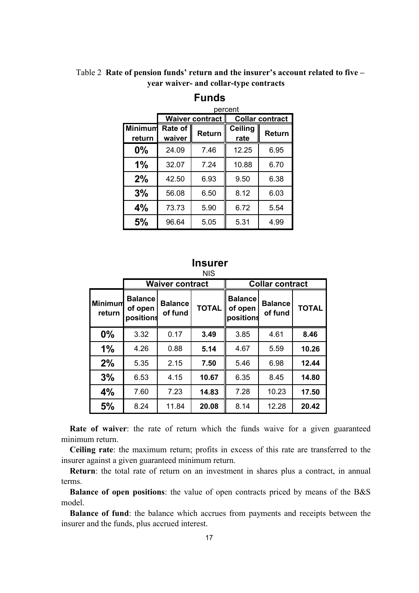Table 2 **Rate of pension funds' return and the insurer's account related to five – year waiver- and collar-type contracts**

|                   |                   |                        | percent                |        |  |  |
|-------------------|-------------------|------------------------|------------------------|--------|--|--|
|                   |                   | <b>Waiver contract</b> | <b>Collar contract</b> |        |  |  |
| Minimum<br>return | Rate of<br>waiver | <b>Return</b>          |                        | Return |  |  |
| $0\%$             | 24.09             | 7.46                   | 12.25                  | 6.95   |  |  |
| 1%                | 32.07             | 7.24                   | 10.88                  | 6.70   |  |  |
| 2%                | 42.50             | 6.93                   | 9.50                   | 6.38   |  |  |
| 3%                | 56.08             | 6.50                   | 8.12                   | 6.03   |  |  |
| 4%                | 73.73             | 5.90                   | 6.72                   | 5.54   |  |  |
| 5%                | 96.64             | 5.05                   | 5.31                   | 4.99   |  |  |

## **Funds**

#### NIS **Insurer**

|                   |                                        |                           | טויו         |                                        |                           |              |  |  |
|-------------------|----------------------------------------|---------------------------|--------------|----------------------------------------|---------------------------|--------------|--|--|
|                   |                                        | <b>Waiver contract</b>    |              | <b>Collar contract</b>                 |                           |              |  |  |
| Minimum<br>return | <b>Balance</b><br>of open<br>positions | <b>Balance</b><br>of fund | <b>TOTAL</b> | <b>Balance</b><br>of open<br>positions | <b>Balance</b><br>of fund | <b>TOTAL</b> |  |  |
| $0\%$             | 3.32                                   | 0.17                      | 3.49         | 3.85                                   | 4.61                      | 8.46         |  |  |
| 1%                | 4.26                                   | 0.88                      | 5.14         | 4.67                                   | 5.59                      | 10.26        |  |  |
| 2%                | 5.35                                   | 2.15                      | 7.50         | 5.46                                   | 6.98                      | 12.44        |  |  |
| 3%                | 6.53                                   | 4.15                      | 10.67        | 6.35                                   | 8.45                      | 14.80        |  |  |
| 4%                | 7.60                                   | 7.23                      | 14.83        | 7.28                                   | 10.23                     | 17.50        |  |  |
| 5%                | 8.24                                   | 11.84                     | 20.08        | 8.14                                   | 12.28                     | 20.42        |  |  |

**Rate of waiver**: the rate of return which the funds waive for a given guaranteed minimum return.

**Ceiling rate**: the maximum return; profits in excess of this rate are transferred to the insurer against a given guaranteed minimum return.

**Return**: the total rate of return on an investment in shares plus a contract, in annual terms.

**Balance of open positions**: the value of open contracts priced by means of the B&S model.

**Balance of fund**: the balance which accrues from payments and receipts between the insurer and the funds, plus accrued interest.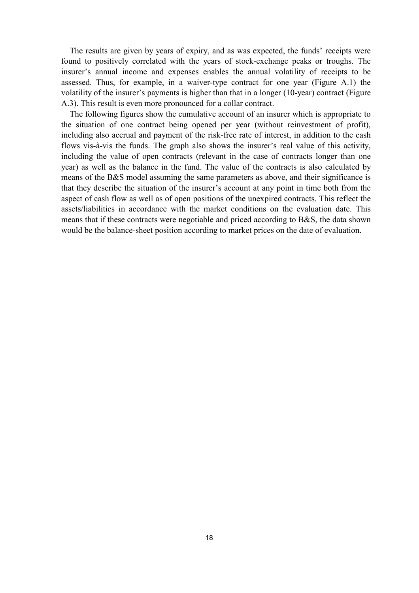The results are given by years of expiry, and as was expected, the funds' receipts were found to positively correlated with the years of stock-exchange peaks or troughs. The insurer's annual income and expenses enables the annual volatility of receipts to be assessed. Thus, for example, in a waiver-type contract for one year (Figure A.1) the volatility of the insurer's payments is higher than that in a longer (10-year) contract (Figure A.3). This result is even more pronounced for a collar contract.

The following figures show the cumulative account of an insurer which is appropriate to the situation of one contract being opened per year (without reinvestment of profit), including also accrual and payment of the risk-free rate of interest, in addition to the cash flows vis-à-vis the funds. The graph also shows the insurer's real value of this activity, including the value of open contracts (relevant in the case of contracts longer than one year) as well as the balance in the fund. The value of the contracts is also calculated by means of the B&S model assuming the same parameters as above, and their significance is that they describe the situation of the insurer's account at any point in time both from the aspect of cash flow as well as of open positions of the unexpired contracts. This reflect the assets/liabilities in accordance with the market conditions on the evaluation date. This means that if these contracts were negotiable and priced according to B&S, the data shown would be the balance-sheet position according to market prices on the date of evaluation.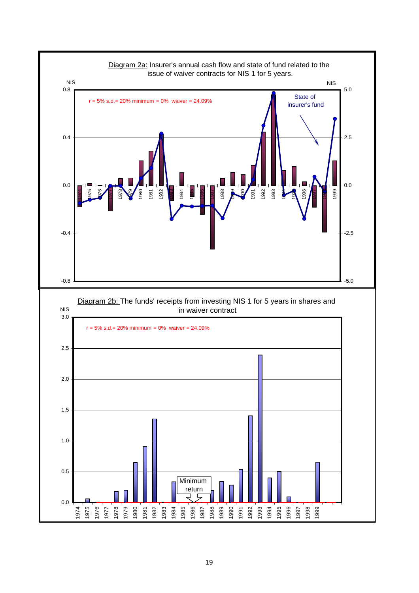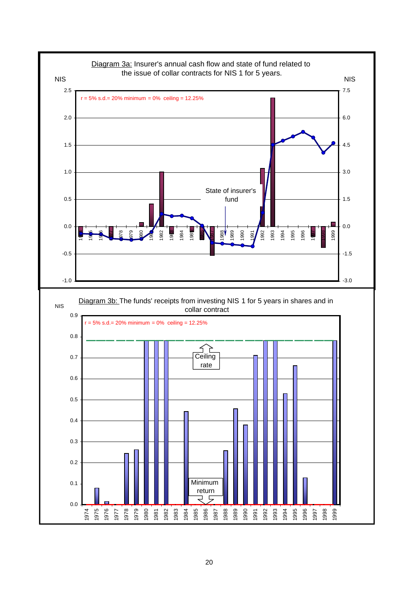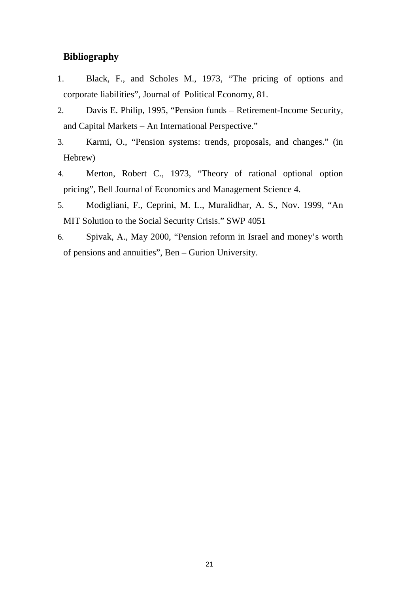## **Bibliography**

- 1. Black, F., and Scholes M., 1973, "The pricing of options and corporate liabilities", Journal of Political Economy, 81.
- 2. Davis E. Philip, 1995, "Pension funds Retirement-Income Security, and Capital Markets – An International Perspective."
- 3. Karmi, O., "Pension systems: trends, proposals, and changes." (in Hebrew)
- 4. Merton, Robert C., 1973, "Theory of rational optional option pricing", Bell Journal of Economics and Management Science 4.
- 5. Modigliani, F., Ceprini, M. L., Muralidhar, A. S., Nov. 1999, "An MIT Solution to the Social Security Crisis." SWP 4051
- 6. Spivak, A., May 2000, "Pension reform in Israel and money's worth of pensions and annuities", Ben – Gurion University.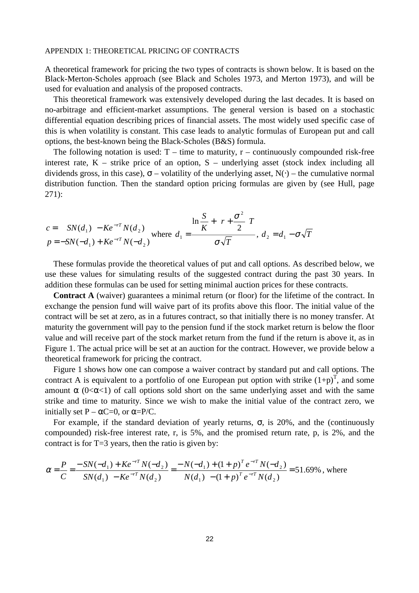#### APPENDIX 1: THEORETICAL PRICING OF CONTRACTS

A theoretical framework for pricing the two types of contracts is shown below. It is based on the Black-Merton-Scholes approach (see Black and Scholes 1973, and Merton 1973), and will be used for evaluation and analysis of the proposed contracts.

This theoretical framework was extensively developed during the last decades. It is based on no-arbitrage and efficient-market assumptions. The general version is based on a stochastic differential equation describing prices of financial assets. The most widely used specific case of this is when volatility is constant. This case leads to analytic formulas of European put and call options, the best-known being the Black-Scholes (B&S) formula.

The following notation is used:  $T -$  time to maturity,  $r -$  continuously compounded risk-free interest rate,  $K$  – strike price of an option,  $S$  – underlying asset (stock index including all dividends gross, in this case),  $\sigma$  – volatility of the underlying asset, N(⋅) – the cumulative normal distribution function. Then the standard option pricing formulas are given by (see Hull, page 271):

$$
c = SN(d_1) - Ke^{-rT}N(d_2)
$$
  
\n
$$
p = -SN(-d_1) + Ke^{-rT}N(-d_2)
$$
 where  $d_1 = \frac{\ln \frac{S}{K} + \left(r + \frac{\sigma^2}{2}\right)r}{\sigma\sqrt{T}}$ ,  $d_2 = d_1 - \sigma\sqrt{T}$ 

These formulas provide the theoretical values of put and call options. As described below, we use these values for simulating results of the suggested contract during the past 30 years. In addition these formulas can be used for setting minimal auction prices for these contracts.

**Contract A** (waiver) guarantees a minimal return (or floor) for the lifetime of the contract. In exchange the pension fund will waive part of its profits above this floor. The initial value of the contract will be set at zero, as in a futures contract, so that initially there is no money transfer. At maturity the government will pay to the pension fund if the stock market return is below the floor value and will receive part of the stock market return from the fund if the return is above it, as in Figure 1. The actual price will be set at an auction for the contract. However, we provide below a theoretical framework for pricing the contract.

Figure 1 shows how one can compose a waiver contract by standard put and call options. The contract A is equivalent to a portfolio of one European put option with strike  $(1+p)^T$ , and some amount  $\alpha$  (0< $\alpha$ <1) of call options sold short on the same underlying asset and with the same strike and time to maturity. Since we wish to make the initial value of the contract zero, we initially set  $P - \alpha C = 0$ , or  $\alpha = P/C$ .

For example, if the standard deviation of yearly returns,  $\sigma$ , is 20%, and the (continuously compounded) risk-free interest rate, r, is 5%, and the promised return rate, p, is 2%, and the contract is for T=3 years, then the ratio is given by:

$$
\alpha = \frac{P}{C} = \frac{-SN(-d_1) + Ke^{-rT}N(-d_2)}{SN(d_1) - Ke^{-rT}N(d_2)} = \frac{-N(-d_1) + (1+p)^T e^{-rT}N(-d_2)}{N(d_1) - (1+p)^T e^{-rT}N(d_2)} = 51.69\%
$$
, where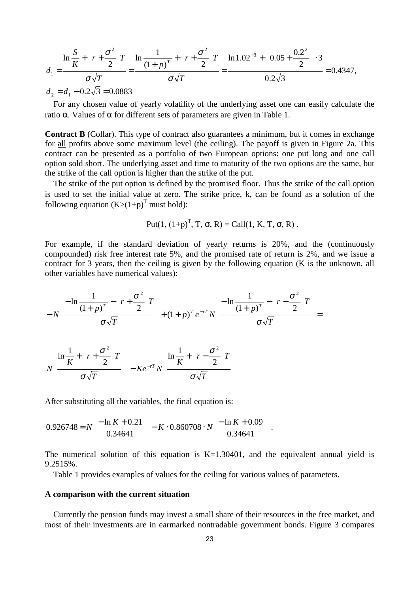$$
d_1 = \frac{\ln\frac{S}{K} + \left(r + \frac{\sigma^2}{2}\right)r}{\sigma\sqrt{T}} = \frac{\ln\frac{1}{(1+p)^T} + \left(r + \frac{\sigma^2}{2}\right)r}{\sigma\sqrt{T}} = \frac{\ln 1.02^{-3} + \left(0.05 + \frac{0.2^2}{2}\right) \cdot 3}{0.2\sqrt{3}} = 0.4347,
$$

 $d_2 = d_1 - 0.2\sqrt{3} = 0.0883$ 

For any chosen value of yearly volatility of the underlying asset one can easily calculate the ratio  $\alpha$ . Values of  $\alpha$  for different sets of parameters are given in Table 1.

**Contract B** (Collar). This type of contract also guarantees a minimum, but it comes in exchange for all profits above some maximum level (the ceiling). The payoff is given in Figure 2a. This contract can be presented as a portfolio of two European options: one put long and one call option sold short. The underlying asset and time to maturity of the two options are the same, but the strike of the call option is higher than the strike of the put.

The strike of the put option is defined by the promised floor. Thus the strike of the call option is used to set the initial value at zero. The strike price, k, can be found as a solution of the following equation  $(K>(1+p)^T$  must hold):

Put
$$
(1, (1+p)^T, T, \sigma, R) = \text{Call}(1, K, T, \sigma, R)
$$
.

For example, if the standard deviation of yearly returns is 20%, and the (continuously compounded) risk free interest rate 5%, and the promised rate of return is 2%, and we issue a contract for 3 years, then the ceiling is given by the following equation (K is the unknown, all other variables have numerical values):

$$
-N\left(\frac{-\ln\frac{1}{(1+p)^{T}} - \left(r + \frac{\sigma^{2}}{2}\right)r}{\sigma\sqrt{T}}\right) + (1+p)^{T} e^{-rT} N\left(\frac{-\ln\frac{1}{(1+p)^{T}} - \left(r - \frac{\sigma^{2}}{2}\right)r}{\sigma\sqrt{T}}\right) = N e^{-rT} N\left(\frac{\ln\frac{1}{K} + \left(r - \frac{\sigma^{2}}{2}\right)r}{\sigma\sqrt{T}}\right)
$$

After substituting all the variables, the final equation is:

$$
0.926748 = N \left( \frac{-\ln K + 0.21}{0.34641} \right) - K \cdot 0.860708 \cdot N \left( \frac{-\ln K + 0.09}{0.34641} \right).
$$

The numerical solution of this equation is  $K=1.30401$ , and the equivalent annual yield is 9.2515%.

Table 1 provides examples of values for the ceiling for various values of parameters.

#### **A comparison with the current situation**

Currently the pension funds may invest a small share of their resources in the free market, and most of their investments are in earmarked nontradable government bonds. Figure 3 compares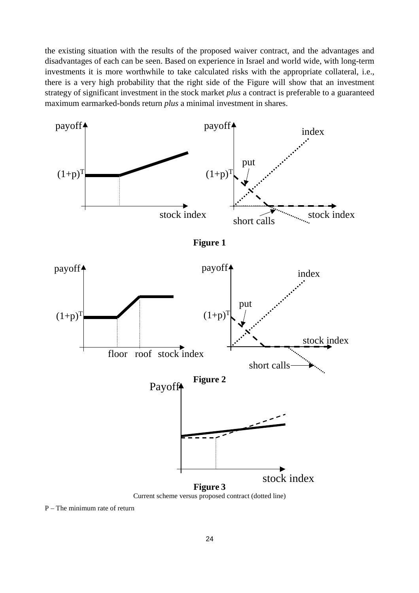the existing situation with the results of the proposed waiver contract, and the advantages and disadvantages of each can be seen. Based on experience in Israel and world wide, with long-term investments it is more worthwhile to take calculated risks with the appropriate collateral, i.e., there is a very high probability that the right side of the Figure will show that an investment strategy of significant investment in the stock market *plus* a contract is preferable to a guaranteed maximum earmarked-bonds return *plus* a minimal investment in shares.



P – The minimum rate of return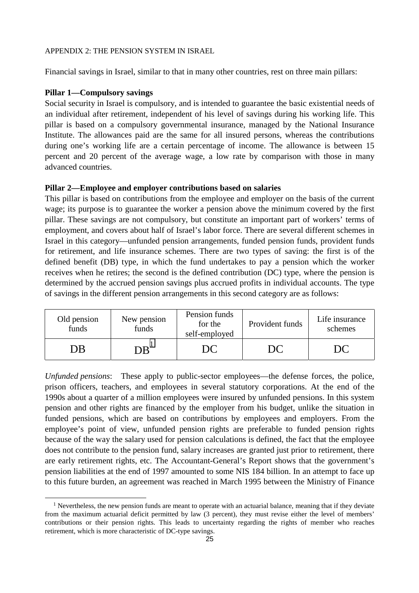#### APPENDIX 2: THE PENSION SYSTEM IN ISRAEL

Financial savings in Israel, similar to that in many other countries, rest on three main pillars:

#### **Pillar 1—Compulsory savings**

Social security in Israel is compulsory, and is intended to guarantee the basic existential needs of an individual after retirement, independent of his level of savings during his working life. This pillar is based on a compulsory governmental insurance, managed by the National Insurance Institute. The allowances paid are the same for all insured persons, whereas the contributions during one's working life are a certain percentage of income. The allowance is between 15 percent and 20 percent of the average wage, a low rate by comparison with those in many advanced countries.

#### **Pillar 2—Employee and employer contributions based on salaries**

This pillar is based on contributions from the employee and employer on the basis of the current wage; its purpose is to guarantee the worker a pension above the minimum covered by the first pillar. These savings are not compulsory, but constitute an important part of workers' terms of employment, and covers about half of Israel's labor force. There are several different schemes in Israel in this category—unfunded pension arrangements, funded pension funds, provident funds for retirement, and life insurance schemes. There are two types of saving: the first is of the defined benefit (DB) type, in which the fund undertakes to pay a pension which the worker receives when he retires; the second is the defined contribution (DC) type, where the pension is determined by the accrued pension savings plus accrued profits in individual accounts. The type of savings in the different pension arrangements in this second category are as follows:

| Old pension<br>funds | Pension funds<br>New pension<br>for the<br>funds<br>self-employed |  | Provident funds | Life insurance<br>schemes |
|----------------------|-------------------------------------------------------------------|--|-----------------|---------------------------|
| ЭB                   | $\overline{AB}$                                                   |  | DC              |                           |

*Unfunded pensions*: These apply to public-sector employees—the defense forces, the police, prison officers, teachers, and employees in several statutory corporations. At the end of the 1990s about a quarter of a million employees were insured by unfunded pensions. In this system pension and other rights are financed by the employer from his budget, unlike the situation in funded pensions, which are based on contributions by employees and employers. From the employee's point of view, unfunded pension rights are preferable to funded pension rights because of the way the salary used for pension calculations is defined, the fact that the employee does not contribute to the pension fund, salary increases are granted just prior to retirement, there are early retirement rights, etc. The Accountant-General's Report shows that the government's pension liabilities at the end of 1997 amounted to some NIS 184 billion. In an attempt to face up to this future burden, an agreement was reached in March 1995 between the Ministry of Finance

<sup>&</sup>lt;sup>1</sup> Nevertheless, the new pension funds are meant to operate with an actuarial balance, meaning that if they deviate from the maximum actuarial deficit permitted by law (3 percent), they must revise either the level of members' contributions or their pension rights. This leads to uncertainty regarding the rights of member who reaches retirement, which is more characteristic of DC-type savings.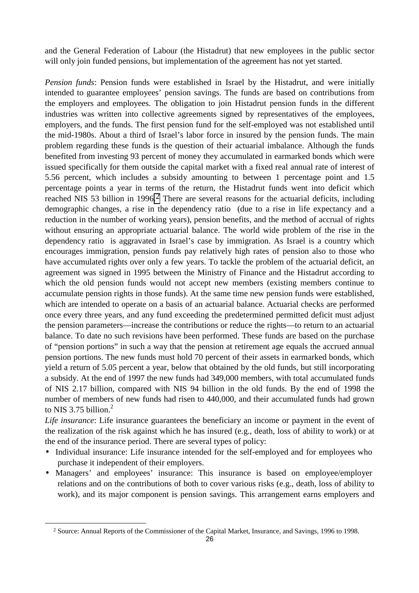and the General Federation of Labour (the Histadrut) that new employees in the public sector will only join funded pensions, but implementation of the agreement has not yet started.

*Pension funds*: Pension funds were established in Israel by the Histadrut, and were initially intended to guarantee employees' pension savings. The funds are based on contributions from the employers and employees. The obligation to join Histadrut pension funds in the different industries was written into collective agreements signed by representatives of the employees, employers, and the funds. The first pension fund for the self-employed was not established until the mid-1980s. About a third of Israel's labor force in insured by the pension funds. The main problem regarding these funds is the question of their actuarial imbalance. Although the funds benefited from investing 93 percent of money they accumulated in earmarked bonds which were issued specifically for them outside the capital market with a fixed real annual rate of interest of 5.56 percent, which includes a subsidy amounting to between 1 percentage point and 1.5 percentage points a year in terms of the return, the Histadrut funds went into deficit which reached NIS 53 billion in 1996.<sup>2</sup> There are several reasons for the actuarial deficits, including demographic changes, a rise in the dependency ratio (due to a rise in life expectancy and a reduction in the number of working years), pension benefits, and the method of accrual of rights without ensuring an appropriate actuarial balance. The world wide problem of the rise in the dependency ratio is aggravated in Israel's case by immigration. As Israel is a country which encourages immigration, pension funds pay relatively high rates of pension also to those who have accumulated rights over only a few years. To tackle the problem of the actuarial deficit, an agreement was signed in 1995 between the Ministry of Finance and the Histadrut according to which the old pension funds would not accept new members (existing members continue to accumulate pension rights in those funds). At the same time new pension funds were established, which are intended to operate on a basis of an actuarial balance. Actuarial checks are performed once every three years, and any fund exceeding the predetermined permitted deficit must adjust the pension parameters—increase the contributions or reduce the rights—to return to an actuarial balance. To date no such revisions have been performed. These funds are based on the purchase of "pension portions" in such a way that the pension at retirement age equals the accrued annual pension portions. The new funds must hold 70 percent of their assets in earmarked bonds, which yield a return of 5.05 percent a year, below that obtained by the old funds, but still incorporating a subsidy. At the end of 1997 the new funds had 349,000 members, with total accumulated funds of NIS 2.17 billion, compared with NIS 94 billion in the old funds. By the end of 1998 the number of members of new funds had risen to 440,000, and their accumulated funds had grown to NIS 3.75 billion.<sup>2</sup>

*Life insurance*: Life insurance guarantees the beneficiary an income or payment in the event of the realization of the risk against which he has insured (e.g., death, loss of ability to work) or at the end of the insurance period. There are several types of policy:

- Individual insurance: Life insurance intended for the self-employed and for employees who purchase it independent of their employers.
- Managers' and employees' insurance: This insurance is based on employee/employer relations and on the contributions of both to cover various risks (e.g., death, loss of ability to work), and its major component is pension savings. This arrangement earns employers and

 <sup>2</sup> Source: Annual Reports of the Commissioner of the Capital Market, Insurance, and Savings, 1996 to 1998.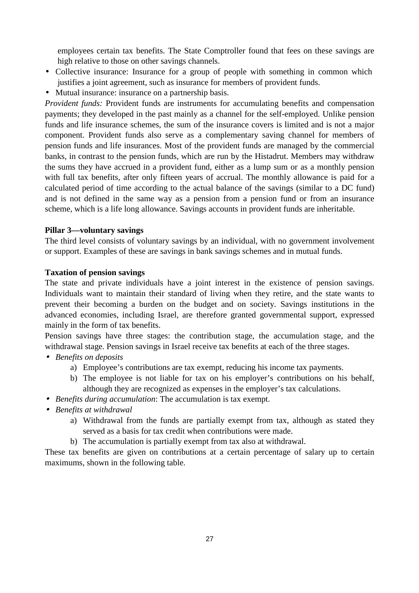employees certain tax benefits. The State Comptroller found that fees on these savings are high relative to those on other savings channels.

- Collective insurance: Insurance for a group of people with something in common which justifies a joint agreement, such as insurance for members of provident funds.
- Mutual insurance: insurance on a partnership basis.

*Provident funds:* Provident funds are instruments for accumulating benefits and compensation payments; they developed in the past mainly as a channel for the self-employed. Unlike pension funds and life insurance schemes, the sum of the insurance covers is limited and is not a major component. Provident funds also serve as a complementary saving channel for members of pension funds and life insurances. Most of the provident funds are managed by the commercial banks, in contrast to the pension funds, which are run by the Histadrut. Members may withdraw the sums they have accrued in a provident fund, either as a lump sum or as a monthly pension with full tax benefits, after only fifteen years of accrual. The monthly allowance is paid for a calculated period of time according to the actual balance of the savings (similar to a DC fund) and is not defined in the same way as a pension from a pension fund or from an insurance scheme, which is a life long allowance. Savings accounts in provident funds are inheritable.

#### **Pillar 3—voluntary savings**

The third level consists of voluntary savings by an individual, with no government involvement or support. Examples of these are savings in bank savings schemes and in mutual funds.

#### **Taxation of pension savings**

The state and private individuals have a joint interest in the existence of pension savings. Individuals want to maintain their standard of living when they retire, and the state wants to prevent their becoming a burden on the budget and on society. Savings institutions in the advanced economies, including Israel, are therefore granted governmental support, expressed mainly in the form of tax benefits.

Pension savings have three stages: the contribution stage, the accumulation stage, and the withdrawal stage. Pension savings in Israel receive tax benefits at each of the three stages.

- *Benefits on deposits*
	- a) Employee's contributions are tax exempt, reducing his income tax payments.
	- b) The employee is not liable for tax on his employer's contributions on his behalf, although they are recognized as expenses in the employer's tax calculations.
- *Benefits during accumulation*: The accumulation is tax exempt.
- *Benefits at withdrawal*
	- a) Withdrawal from the funds are partially exempt from tax, although as stated they served as a basis for tax credit when contributions were made.
	- b) The accumulation is partially exempt from tax also at withdrawal.

These tax benefits are given on contributions at a certain percentage of salary up to certain maximums, shown in the following table.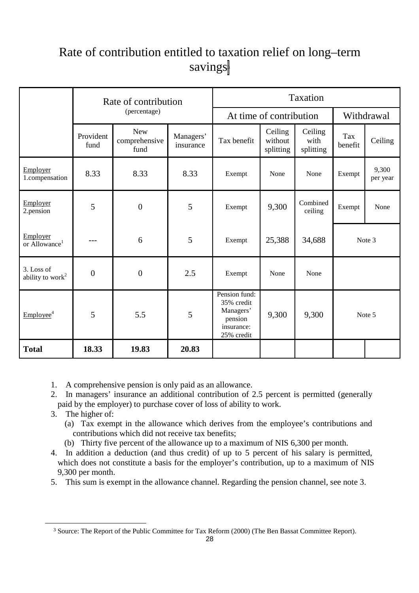# Rate of contribution entitled to taxation relief on long–term savings<sup>3</sup>

|                                            |                   | Rate of contribution                |                        | Taxation                                                                        |                                 |                              |                |                   |  |  |  |
|--------------------------------------------|-------------------|-------------------------------------|------------------------|---------------------------------------------------------------------------------|---------------------------------|------------------------------|----------------|-------------------|--|--|--|
|                                            |                   | (percentage)                        |                        |                                                                                 | At time of contribution         |                              | Withdrawal     |                   |  |  |  |
|                                            | Provident<br>fund | <b>New</b><br>comprehensive<br>fund | Managers'<br>insurance | Tax benefit                                                                     | Ceiling<br>without<br>splitting | Ceiling<br>with<br>splitting | Tax<br>benefit | Ceiling           |  |  |  |
| Employer<br>1.compensation                 | 8.33              | 8.33                                | 8.33                   | Exempt                                                                          | None                            | None                         | Exempt         | 9,300<br>per year |  |  |  |
| Employer<br>2.pension                      | 5                 | $\overline{0}$                      | 5                      | Exempt                                                                          | 9,300                           | Combined<br>ceiling          | Exempt         | None              |  |  |  |
| Employer<br>or Allowance <sup>1</sup>      | ---               | 6                                   | 5                      | Exempt                                                                          | 25,388                          | 34,688                       |                | Note 3            |  |  |  |
| 3. Loss of<br>ability to work <sup>2</sup> | $\boldsymbol{0}$  | $\boldsymbol{0}$                    | 2.5                    | Exempt                                                                          | None                            | None                         |                |                   |  |  |  |
| Employee <sup>4</sup>                      | 5                 | 5.5                                 | 5                      | Pension fund:<br>35% credit<br>Managers'<br>pension<br>insurance:<br>25% credit | 9,300                           | 9,300                        | Note 5         |                   |  |  |  |
| <b>Total</b>                               | 18.33             | 19.83                               | 20.83                  |                                                                                 |                                 |                              |                |                   |  |  |  |

1. A comprehensive pension is only paid as an allowance.

- 2. In managers' insurance an additional contribution of 2.5 percent is permitted (generally paid by the employer) to purchase cover of loss of ability to work.
- 3. The higher of:
	- (a) Tax exempt in the allowance which derives from the employee's contributions and contributions which did not receive tax benefits;
	- (b) Thirty five percent of the allowance up to a maximum of NIS 6,300 per month.
- 4. In addition a deduction (and thus credit) of up to 5 percent of his salary is permitted, which does not constitute a basis for the employer's contribution, up to a maximum of NIS 9,300 per month.
- 5. This sum is exempt in the allowance channel. Regarding the pension channel, see note 3.

<sup>&</sup>lt;sup>3</sup> Source: The Report of the Public Committee for Tax Reform (2000) (The Ben Bassat Committee Report).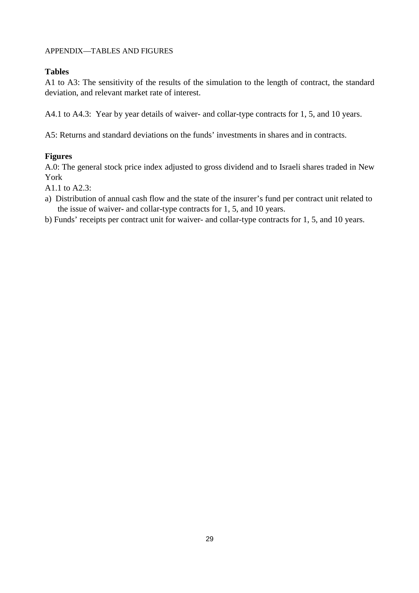#### APPENDIX—TABLES AND FIGURES

### **Tables**

A1 to A3: The sensitivity of the results of the simulation to the length of contract, the standard deviation, and relevant market rate of interest.

A4.1 to A4.3: Year by year details of waiver- and collar-type contracts for 1, 5, and 10 years.

A5: Returns and standard deviations on the funds' investments in shares and in contracts.

### **Figures**

A.0: The general stock price index adjusted to gross dividend and to Israeli shares traded in New York

A1.1 to A2.3:

a) Distribution of annual cash flow and the state of the insurer's fund per contract unit related to the issue of waiver- and collar-type contracts for 1, 5, and 10 years.

b) Funds' receipts per contract unit for waiver- and collar-type contracts for 1, 5, and 10 years.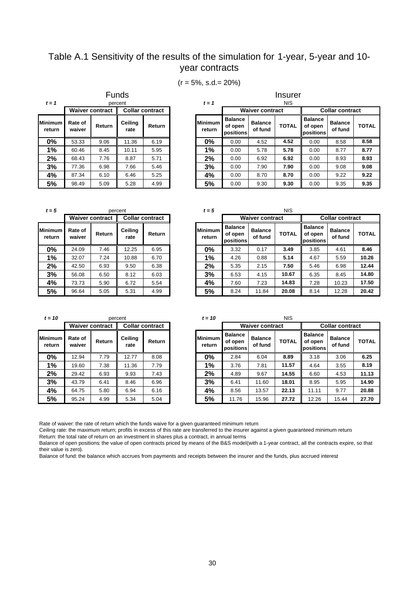## Table A.1 Sensitivity of the results of the simulation for 1-year, 5-year and 10 year contracts

| $(r = 5\%, s.d = 20\%)$ |  |
|-------------------------|--|
|-------------------------|--|

**Insurer** 

| $t = 1$                  |                             |                        | <b>Funds</b><br>percent |                        | $t = 1$                  |                                        | Insui<br><b>NIS</b>       |             |  |
|--------------------------|-----------------------------|------------------------|-------------------------|------------------------|--------------------------|----------------------------------------|---------------------------|-------------|--|
|                          |                             | <b>Waiver contract</b> |                         | <b>Collar contract</b> |                          |                                        | <b>Waiver contract</b>    |             |  |
| <b>Minimum</b><br>return | Rate of<br>Return<br>waiver |                        | Ceiling<br>rate         | Return                 | <b>Minimum</b><br>return | <b>Balance</b><br>of open<br>positions | <b>Balance</b><br>of fund | <b>TOTA</b> |  |
| 0%                       | 53.33                       | 9.06                   | 11.36                   | 6.19                   | $0\%$                    | 0.00                                   | 4.52                      | 4.52        |  |
| 1%                       | 60.46                       | 8.45                   | 10.11                   | 5.95                   | 1%                       | 0.00                                   | 5.78                      | 5.78        |  |
| 2%                       | 68.43                       | 7.76                   | 8.87                    | 5.71                   | 2%                       | 0.00                                   | 6.92                      | 6.92        |  |
| 3%                       | 77.36                       | 6.98                   | 7.66                    | 5.46                   | 3%                       | 0.00                                   | 7.90                      | 7.90        |  |
| 4%                       | 87.34                       | 6.10                   | 6.46                    | 5.25                   | 4%                       | 0.00                                   | 8.70                      | 8.70        |  |
| 5%                       | 98.49                       | 5.09                   | 5.28                    | 4.99                   | 5%                       | 0.00                                   | 9.30                      | 9.30        |  |

**return Balance of open positions Balance of fund TOTAL Balance of open positions Balance balance**<br>of fund TOTAL **0%** 53.33 9.06 11.36 6.19 **0%** 0.00 4.52 **4.52** 0.00 8.58 **8.58 1%** 60.46 8.45 10.11 5.95 **1%** 0.00 5.78 **5.78** 0.00 8.77 **8.77 2%** 68.43 7.76 8.87 5.71 **2%** 0.00 6.92 **6.92** 0.00 8.93 **8.93 3%** 77.36 6.98 7.66 5.46 **3%** 0.00 7.90 **7.90** 0.00 9.08 **9.08 4%** 87.34 6.10 6.46 5.25 **4%** 0.00 8.70 **8.70** 0.00 9.22 **9.22 5%** 98.49 5.09 5.28 4.99 **5%** 0.00 9.30 **9.30** 0.00 9.35 **9.35** Waiver contract **Collar contract** 

| $t=5$                    |                   |                        | percent         |                        | $t = 5$                  |                                        |                           | <b>NIS</b>  |  |  |
|--------------------------|-------------------|------------------------|-----------------|------------------------|--------------------------|----------------------------------------|---------------------------|-------------|--|--|
|                          |                   | <b>Waiver contract</b> |                 | <b>Collar contract</b> |                          |                                        | <b>Waiver contract</b>    |             |  |  |
| <b>Minimum</b><br>return | Rate of<br>waiver | Return                 | Ceiling<br>rate | Return                 | <b>Minimum</b><br>return | <b>Balance</b><br>of open<br>positions | <b>Balance</b><br>of fund | <b>TOTA</b> |  |  |
| $0\%$                    | 24.09             | 7.46                   | 12.25           | 6.95                   | $0\%$                    | 3.32                                   | 0.17                      | 3.49        |  |  |
| 1%                       | 32.07             | 7.24                   | 10.88           | 6.70                   | 1%                       | 4.26                                   | 0.88                      | 5.14        |  |  |
| 2%                       | 42.50             | 6.93                   | 9.50            | 6.38                   | 2%                       | 5.35                                   | 2.15                      | 7.50        |  |  |
| 3%                       | 56.08             | 6.50                   | 8.12            | 6.03                   | 3%                       | 6.53                                   | 4.15                      | 10.6        |  |  |
| 4%                       | 73.73             | 5.90                   | 6.72            | 5.54                   | 4%                       | 7.60                                   | 7.23                      | 14.8        |  |  |
| 5%                       | 96.64             | 5.05                   | 531             | 4.99                   | 5%                       | 8.24                                   | 11 R <sub>4</sub>         | 20 Q        |  |  |

| $t = 10$                 |                             |                        | percent         |                        | $t = 10$                 |                                        |                           | <b>NIS</b>  |
|--------------------------|-----------------------------|------------------------|-----------------|------------------------|--------------------------|----------------------------------------|---------------------------|-------------|
|                          |                             | <b>Waiver contract</b> |                 | <b>Collar contract</b> |                          |                                        | <b>Waiver contract</b>    |             |
| <b>Minimum</b><br>return | Rate of<br>Return<br>waiver |                        | Ceiling<br>rate | Return                 | <b>Minimum</b><br>return | <b>Balance</b><br>of open<br>positions | <b>Balance</b><br>of fund | <b>TOTA</b> |
| $0\%$                    | 12.94                       | 7.79                   | 12.77           | 8.08                   | $0\%$                    | 2.84                                   | 6.04                      | 8.89        |
| 1%                       | 19.60                       | 7.38                   | 11.36           | 7.79                   | 1%                       | 3.76                                   | 7.81                      | 11.5        |
| 2%                       | 29.42                       | 6.93                   | 9.93            | 7.43                   | 2%                       | 4.89                                   | 9.67                      | 14.5        |
| 3%                       | 43.79                       | 6.41                   | 8.46            | 6.96                   | 3%                       | 6.41                                   | 11.60                     | 18.0        |
| 4%                       | 64.75                       | 5.80                   | 6.94            | 6.16                   | 4%                       | 8.56                                   | 13.57                     | 22.1        |
| 5%                       | 95.24                       | 4.99                   | 5.34            | 5.04                   | 5%                       | 11.76                                  | 15.96                     | 27.7        |

| $= 5$          |                                                  |        | percent         |        | $t = 5$                  |                                        |                           | NIS          |                                        |                           |              |
|----------------|--------------------------------------------------|--------|-----------------|--------|--------------------------|----------------------------------------|---------------------------|--------------|----------------------------------------|---------------------------|--------------|
|                | <b>Waiver contract</b><br><b>Collar contract</b> |        |                 |        |                          |                                        | <b>Waiver contract</b>    |              | <b>Collar contract</b>                 |                           |              |
| ıimum<br>eturn | Rate of<br>waiver                                | Return | Ceiling<br>rate | Return | <b>Minimum</b><br>return | <b>Balance</b><br>of open<br>positions | <b>Balance</b><br>of fund | <b>TOTAL</b> | <b>Balance</b><br>of open<br>positions | <b>Balance</b><br>of fund | <b>TOTAL</b> |
| 0%             | 24.09                                            | 7.46   | 12.25           | 6.95   | $0\%$                    | 3.32                                   | 0.17                      | 3.49         | 3.85                                   | 4.61                      | 8.46         |
| 1%             | 32.07                                            | 7.24   | 10.88           | 6.70   | $1\%$                    | 4.26                                   | 0.88                      | 5.14         | 4.67                                   | 5.59                      | 10.26        |
| 2%             | 42.50                                            | 6.93   | 9.50            | 6.38   | 2%                       | 5.35                                   | 2.15                      | 7.50         | 5.46                                   | 6.98                      | 12.44        |
| 3%             | 56.08                                            | 6.50   | 8.12            | 6.03   | 3%                       | 6.53                                   | 4.15                      | 10.67        | 6.35                                   | 8.45                      | 14.80        |
| 4%             | 73.73                                            | 5.90   | 6.72            | 5.54   | 4%                       | 7.60                                   | 7.23                      | 14.83        | 7.28                                   | 10.23                     | 17.50        |
| 5%             | 96.64                                            | 5.05   | 5.31            | 4.99   | 5%                       | 8.24                                   | 11.84                     | 20.08        | 8.14                                   | 12.28                     | 20.42        |

| $= 10$         |                   |                                                  | percent         |        | $t = 10$                 |                                        |                           |              |                                        |                           |              |  |
|----------------|-------------------|--------------------------------------------------|-----------------|--------|--------------------------|----------------------------------------|---------------------------|--------------|----------------------------------------|---------------------------|--------------|--|
|                |                   | <b>Waiver contract</b><br><b>Collar contract</b> |                 |        |                          |                                        | <b>Waiver contract</b>    |              |                                        | <b>Collar contract</b>    |              |  |
| nimum<br>eturn | Rate of<br>waiver | Return                                           | Ceiling<br>rate | Return | <b>Minimum</b><br>return | <b>Balance</b><br>of open<br>positions | <b>Balance</b><br>of fund | <b>TOTAL</b> | <b>Balance</b><br>of open<br>positions | <b>Balance</b><br>of fund | <b>TOTAL</b> |  |
| 0%             | 12.94             | 7.79                                             | 12.77           | 8.08   | $0\%$                    | 2.84                                   | 6.04                      | 8.89         | 3.18                                   | 3.06                      | 6.25         |  |
| 1%             | 19.60             | 7.38                                             | 11.36           | 7.79   | 1%                       | 3.76                                   | 7.81                      | 11.57        | 4.64                                   | 3.55                      | 8.19         |  |
| 2%             | 29.42             | 6.93                                             | 9.93            | 7.43   | 2%                       | 4.89                                   | 9.67                      | 14.55        | 6.60                                   | 4.53                      | 11.13        |  |
| 3%             | 43.79             | 6.41                                             | 8.46            | 6.96   | 3%                       | 6.41                                   | 11.60                     | 18.01        | 8.95                                   | 5.95                      | 14.90        |  |
| 4%             | 64.75             | 5.80                                             | 6.94            | 6.16   | 4%                       | 8.56                                   | 13.57                     | 22.13        | 11.11                                  | 9.77                      | 20.88        |  |
| 5%             | 95.24             | 4.99                                             | 5.34            | 5.04   | 5%                       | 11.76                                  | 15.96                     | 27.72        | 12.26                                  | 15.44                     | 27.70        |  |

Rate of waiver: the rate of return which the funds waive for a given guaranteed minimum return.

Ceiling rate: the maximum return; profits in excess of this rate are transferred to the insurer against a given guaranteed minimum return. Return: the total rate of return on an investment in shares plus a contract, in annual terms.

Balance of open positions: the value of open contracts priced by means of the B&S model (with a 1-year contract, all the contracts expire, so that their value is zero).

Balance of fund: the balance which accrues from payments and receipts between the insurer and the funds, plus accrued interest.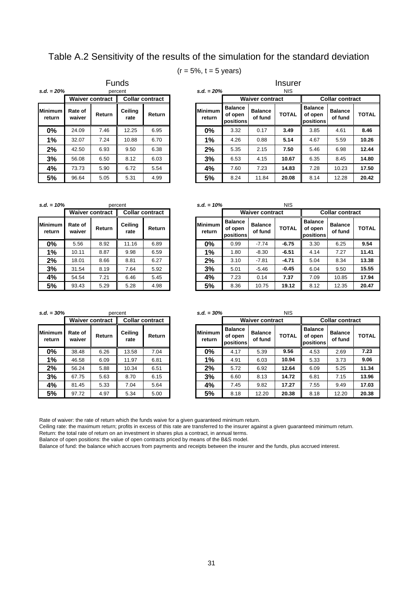Table A.2 Sensitivity of the results of the simulation for the standard deviation

#### $(r = 5\% , t = 5$  years)

*s.d. = 20% s.d. = 20%* NIS **Minimum return Rate of waiver Return Ceiling rate Return Minimum**  percent **Waiver contract Collar contract** Funds

| $=20%$         |                   |                        | percent         |                        |  | $s.d. = 20%$             |                                        |                           | <b>NIS</b>   |                                        |                           |              |  |
|----------------|-------------------|------------------------|-----------------|------------------------|--|--------------------------|----------------------------------------|---------------------------|--------------|----------------------------------------|---------------------------|--------------|--|
|                |                   | <b>Waiver contract</b> |                 | <b>Collar contract</b> |  |                          |                                        | <b>Waiver contract</b>    |              | <b>Collar contract</b>                 |                           |              |  |
| nimum<br>eturn | Rate of<br>waiver | Return                 | Ceiling<br>rate | Return                 |  | <b>Minimum</b><br>return | <b>Balance</b><br>of open<br>positions | <b>Balance</b><br>of fund | <b>TOTAL</b> | <b>Balance</b><br>of open<br>positions | <b>Balance</b><br>of fund | <b>TOTAL</b> |  |
| 0%             | 24.09             | 7.46                   | 12.25           | 6.95                   |  | $0\%$                    | 3.32                                   | 0.17                      | 3.49         | 3.85                                   | 4.61                      | 8.46         |  |
| 1%             | 32.07             | 7.24                   | 10.88           | 6.70                   |  | 1%                       | 4.26                                   | 0.88                      | 5.14         | 4.67                                   | 5.59                      | 10.26        |  |
| 2%             | 42.50             | 6.93                   | 9.50            | 6.38                   |  | 2%                       | 5.35                                   | 2.15                      | 7.50         | 5.46                                   | 6.98                      | 12.44        |  |
| 3%             | 56.08             | 6.50                   | 8.12            | 6.03                   |  | 3%                       | 6.53                                   | 4.15                      | 10.67        | 6.35                                   | 8.45                      | 14.80        |  |
| 4%             | 73.73             | 5.90                   | 6.72            | 5.54                   |  | 4%                       | 7.60                                   | 7.23                      | 14.83        | 7.28                                   | 10.23                     | 17.50        |  |
|                | 96.64             | 5.05                   | 5.31            | 4.99                   |  | 5%                       | 8.24                                   | 11.84                     | 20.08        | 8.14                                   | 12.28                     | 20.42        |  |
| 5%             |                   |                        |                 |                        |  |                          |                                        |                           |              |                                        |                           |              |  |

Insurer

*s.d. = 10% s.d. = 10%* NIS **Minimum return Rate of waiver Return Ceiling rate Return Minimum**  percent Waiver contract | Collar contract | **Waiver contract** 

**return Balance of open positions Balance of fund TOTAL Balance of open positions Balance of fund TOTAL 0%** 5.56 8.92 11.16 6.89 **0%** 0.99 -7.74 **-6.75** 3.30 6.25 **9.54 1%** 10.11 8.87 9.98 6.59 **1%** 1.80 -8.30 **-6.51** 4.14 7.27 **11.41 2%** 18.01 8.66 8.81 6.27 **2%** 3.10 -7.81 **-4.71** 5.04 8.34 **13.38 3%** 31.54 8.19 7.64 5.92 **3%** 5.01 -5.46 **-0.45** 6.04 9.50 **15.55 4% 5** 4.54 **7.21 6.46 5.45 4% 4% 7.23** 0.14 **7.37 7.09** 10.85 **17.94 5%** | 93.43 | 5.29 || 5.28 | 4.98 | | 19% | 8.36 | 10.75 | 19.12 || 8.12 | 12.35 | 20.47 **Collar contract**

*s.d. = 30% s.d. = 30%* NIS percent

|                           |                   | <b>Waiver contract</b> |                 | <b>Collar contract</b> |                          |
|---------------------------|-------------------|------------------------|-----------------|------------------------|--------------------------|
| <b>IMinimum</b><br>return | Rate of<br>waiver | Return                 | Ceiling<br>rate | Return                 | <b>Minimum</b><br>return |
| $0\%$                     | 38.48             | 6.26                   | 13.58           | 7.04                   | 0%                       |
| 1%                        | 46.58             | 6.09                   | 11.97           | 6.81                   | 1%                       |
| 2%                        | 56.24             | 5.88                   | 10.34           | 6.51                   | 2%                       |
| 3%                        | 67.75             | 5.63                   | 8.70            | 6.15                   | 3%                       |
| 4%                        | 5.33<br>81.45     |                        | 7.04            | 5.64                   | 4%                       |
| 5%                        | 97.72             | 4.97                   | 5.34            | 5.00                   | 5%                       |

| $= 30\%$       |                   | percent                |                 |                        | $s.d. = 30\%$     | <b>NIS</b>                             |                           |              |                                        |                           |              |
|----------------|-------------------|------------------------|-----------------|------------------------|-------------------|----------------------------------------|---------------------------|--------------|----------------------------------------|---------------------------|--------------|
|                |                   | <b>Waiver contract</b> |                 | <b>Collar contract</b> |                   |                                        | <b>Waiver contract</b>    |              | <b>Collar contract</b>                 |                           |              |
| nimum<br>eturn | Rate of<br>waiver | Return                 | Ceiling<br>rate | Return                 | Minimum<br>return | <b>Balance</b><br>of open<br>positions | <b>Balance</b><br>of fund | <b>TOTAL</b> | <b>Balance</b><br>of open<br>positions | <b>Balance</b><br>of fund | <b>TOTAL</b> |
| 0%             | 38.48             | 6.26                   | 13.58           | 7.04                   | 0%                | 4.17                                   | 5.39                      | 9.56         | 4.53                                   | 2.69                      | 7.23         |
| 1%             | 46.58             | 6.09                   | 11.97           | 6.81                   | $1\%$             | 4.91                                   | 6.03                      | 10.94        | 5.33                                   | 3.73                      | 9.06         |
| 2%             | 56.24             | 5.88                   | 10.34           | 6.51                   | 2%                | 5.72                                   | 6.92                      | 12.64        | 6.09                                   | 5.25                      | 11.34        |
| 3%             | 67.75             | 5.63                   | 8.70            | 6.15                   | 3%                | 6.60                                   | 8.13                      | 14.72        | 6.81                                   | 7.15                      | 13.96        |
| 4%             | 81.45             | 5.33                   | 7.04            | 5.64                   | 4%                | 7.45                                   | 9.82                      | 17.27        | 7.55                                   | 9.49                      | 17.03        |
| 5%             | 97.72             | 4.97                   | 5.34            | 5.00                   | 5%                | 8.18                                   | 12.20                     | 20.38        | 8.18                                   | 12.20                     | 20.38        |

Rate of waiver: the rate of return which the funds waive for a given guaranteed minimum return.

Ceiling rate: the maximum return; profits in excess of this rate are transferred to the insurer against a given guaranteed minimum return.

Return: the total rate of return on an investment in shares plus a contract, in annual terms.

Balance of open positions: the value of open contracts priced by means of the B&S model.

Balance of fund: the balance which accrues from payments and receipts between the insurer and the funds, plus accrued interest.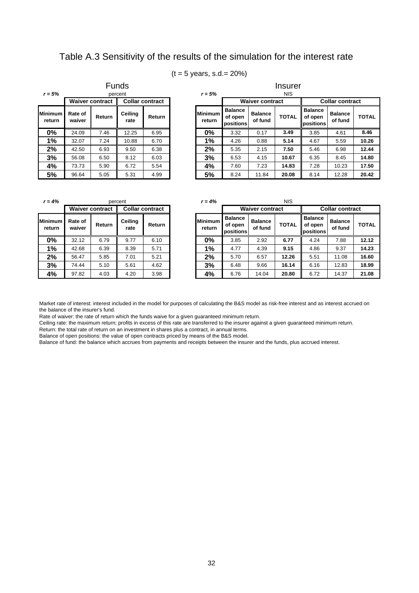## Table A.3 Sensitivity of the results of the simulation for the interest rate

#### $(t = 5$  years, s.d. = 20%)

| $r = 5%$          |                   |                        | <b>Funds</b>    |                        |                          |                                        |                           | Insurer      |  |
|-------------------|-------------------|------------------------|-----------------|------------------------|--------------------------|----------------------------------------|---------------------------|--------------|--|
|                   |                   | <b>Waiver contract</b> | percent         | <b>Collar contract</b> | $r = 5%$                 | <b>NIS</b><br><b>Waiver contract</b>   |                           |              |  |
| Minimum<br>return | Rate of<br>waiver | Return                 | Ceiling<br>rate | Return                 | <b>Minimum</b><br>return | <b>Balance</b><br>of open<br>positions | <b>Balance</b><br>of fund | <b>TOTAL</b> |  |
| $0\%$             | 24.09             | 7.46                   | 12.25           | 6.95                   | $0\%$                    | 3.32                                   | 0.17                      | 3.49         |  |
| 1%                | 32.07             | 7.24                   | 10.88           | 6.70                   | 1%                       | 4.26                                   | 0.88                      | 5.14         |  |
| 2%                | 42.50             | 6.93                   | 9.50            | 6.38                   | 2%                       | 5.35                                   | 2.15                      | 7.50         |  |
| 3%                | 56.08             | 6.50                   | 8.12            | 6.03                   | 3%                       | 6.53                                   | 4.15                      | 10.67        |  |
| 4%                | 73.73             | 5.90                   | 6.72            | 5.54                   | 4%                       | 7.60                                   | 7.23                      | 14.83        |  |
| 5%                | 96.64             | 5.05                   | 5.31            | 4.99                   | 5%                       | 8.24                                   | 11.84                     | 20.08        |  |

| $= 5%$         |                   | percent<br><b>Waiver contract</b><br><b>Collar contract</b> |                 |        | $r = 5%$          |                                        |                           | <b>NIS</b>   |                                        |                           |              |
|----------------|-------------------|-------------------------------------------------------------|-----------------|--------|-------------------|----------------------------------------|---------------------------|--------------|----------------------------------------|---------------------------|--------------|
|                |                   |                                                             |                 |        |                   |                                        | Waiver contract           |              |                                        | <b>Collar contract</b>    |              |
| ıimum<br>eturn | Rate of<br>waiver | Return                                                      | Ceiling<br>rate | Return | Minimum<br>return | <b>Balance</b><br>of open<br>positions | <b>Balance</b><br>of fund | <b>TOTAL</b> | <b>Balance</b><br>of open<br>positions | <b>Balance</b><br>of fund | <b>TOTAL</b> |
| 0%             | 24.09             | 7.46                                                        | 12.25           | 6.95   | $0\%$             | 3.32                                   | 0.17                      | 3.49         | 3.85                                   | 4.61                      | 8.46         |
| 1%             | 32.07             | 7.24                                                        | 10.88           | 6.70   | $1\%$             | 4.26                                   | 0.88                      | 5.14         | 4.67                                   | 5.59                      | 10.26        |
| 2%             | 42.50             | 6.93                                                        | 9.50            | 6.38   | 2%                | 5.35                                   | 2.15                      | 7.50         | 5.46                                   | 6.98                      | 12.44        |
| 3%             | 56.08             | 6.50                                                        | 8.12            | 6.03   | 3%                | 6.53                                   | 4.15                      | 10.67        | 6.35                                   | 8.45                      | 14.80        |
| 4%             | 73.73             | 5.90                                                        | 6.72            | 5.54   | 4%                | 7.60                                   | 7.23                      | 14.83        | 7.28                                   | 10.23                     | 17.50        |
| 5%             | 96.64             | 5.05                                                        | 5.31            | 4.99   | 5%                | 8.24                                   | 11.84                     | 20.08        | 8.14                                   | 12.28                     | 20.42        |

| $r = 4%$                 |                   |                        | percent         |                        | $r = 4%$ |                          |                                        |                           |             |  |
|--------------------------|-------------------|------------------------|-----------------|------------------------|----------|--------------------------|----------------------------------------|---------------------------|-------------|--|
|                          |                   | <b>Waiver contract</b> |                 | <b>Collar contract</b> |          |                          |                                        | <b>Waiver contract</b>    |             |  |
| <b>Minimum</b><br>return | Rate of<br>waiver | Return                 | Ceiling<br>rate | Return                 |          | <b>Minimum</b><br>return | <b>Balance</b><br>of open<br>positions | <b>Balance</b><br>of fund | <b>TOTA</b> |  |
| $0\%$                    | 32.12             | 6.79                   | 9.77            | 6.10                   |          | 0%                       | 3.85                                   | 2.92                      | 6.77        |  |
| 1%                       | 42.68             | 6.39                   | 8.39            | 5.71                   |          | 1%                       | 4.77                                   | 4.39                      | 9.15        |  |
| 2%                       | 56.47             | 5.85                   | 7.01            | 5.21                   |          | 2%                       | 5.70                                   | 6.57                      | 12.2        |  |
| 3%                       | 74.44             | 5.10                   | 5.61            | 4.62                   |          | 3%                       | 6.48                                   | 9.66                      | 16.1        |  |
| 4%                       | 97.82             | 4.03                   | 4.20            | 3.98                   |          | 4%                       | 6.76                                   | 14.04                     | 20.8        |  |

| $= 4%$        |                   | percent                |                 |                        |  | $r = 4%$                 |                                        |                           | <b>NIS</b>   |                                        |                           |              |  |
|---------------|-------------------|------------------------|-----------------|------------------------|--|--------------------------|----------------------------------------|---------------------------|--------------|----------------------------------------|---------------------------|--------------|--|
|               |                   | <b>Waiver contract</b> |                 | <b>Collar contract</b> |  |                          |                                        | <b>Waiver contract</b>    |              | <b>Collar contract</b>                 |                           |              |  |
| imum<br>eturn | Rate of<br>waiver | Return                 | Ceiling<br>rate | Return                 |  | <b>Minimum</b><br>return | <b>Balance</b><br>of open<br>positions | <b>Balance</b><br>of fund | <b>TOTAL</b> | <b>Balance</b><br>of open<br>positions | <b>Balance</b><br>of fund | <b>TOTAL</b> |  |
| 0%            | 32.12             | 6.79                   | 9.77            | 6.10                   |  | $0\%$                    | 3.85                                   | 2.92                      | 6.77         | 4.24                                   | 7.88                      | 12.12        |  |
| 1%            | 42.68             | 6.39                   | 8.39            | 5.71                   |  | 1%                       | 4.77                                   | 4.39                      | 9.15         | 4.86                                   | 9.37                      | 14.23        |  |
| 2%            | 56.47             | 5.85                   | 7.01            | 5.21                   |  | 2%                       | 5.70                                   | 6.57                      | 12.26        | 5.51                                   | 11.08                     | 16.60        |  |
| 3%            | 74.44             | 5.10                   | 5.61            | 4.62                   |  | 3%                       | 6.48                                   | 9.66                      | 16.14        | 6.16                                   | 12.83                     | 18.99        |  |
| 4%            | 97.82             | 4.03                   | 4.20            | 3.98                   |  | 4%                       | 6.76                                   | 14.04                     | 20.80        | 6.72                                   | 14.37                     | 21.08        |  |

Market rate of interest: interest included in the model for purposes of calculating the B&S model as risk-free interest and as interest accrued on the balance of the insurer's fund.

Rate of waiver: the rate of return which the funds waive for a given guaranteed minimum return.

Ceiling rate: the maximum return; profits in excess of this rate are transferred to the insurer against a given guaranteed minimum return. Return: the total rate of return on an investment in shares plus a contract, in annual terms.

Balance of open positions: the value of open contracts priced by means of the B&S model.

Balance of fund: the balance which accrues from payments and receipts between the insurer and the funds, plus accrued interest.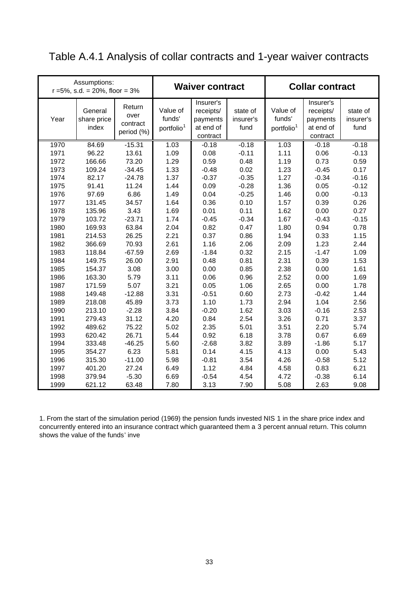# Table A.4.1 Analysis of collar contracts and 1-year waiver contracts

|      | Assumptions:<br>$r = 5\%$ , s.d. = 20%, floor = 3% |                                          |                                              | <b>Waiver contract</b>                                      |                               | <b>Collar contract</b>                       |                                                             |                               |  |  |
|------|----------------------------------------------------|------------------------------------------|----------------------------------------------|-------------------------------------------------------------|-------------------------------|----------------------------------------------|-------------------------------------------------------------|-------------------------------|--|--|
| Year | General<br>share price<br>index                    | Return<br>over<br>contract<br>period (%) | Value of<br>funds'<br>portfolio <sup>1</sup> | Insurer's<br>receipts/<br>payments<br>at end of<br>contract | state of<br>insurer's<br>fund | Value of<br>funds'<br>portfolio <sup>1</sup> | Insurer's<br>receipts/<br>payments<br>at end of<br>contract | state of<br>insurer's<br>fund |  |  |
| 1970 | 84.69                                              | $-15.31$                                 | 1.03                                         | $-0.18$                                                     | $-0.18$                       | 1.03                                         | $-0.18$                                                     | $-0.18$                       |  |  |
| 1971 | 96.22                                              | 13.61                                    | 1.09                                         | 0.08                                                        | $-0.11$                       | 1.11                                         | 0.06                                                        | $-0.13$                       |  |  |
| 1972 | 166.66                                             | 73.20                                    | 1.29                                         | 0.59                                                        | 0.48                          | 1.19                                         | 0.73                                                        | 0.59                          |  |  |
| 1973 | 109.24                                             | $-34.45$                                 | 1.33                                         | $-0.48$                                                     | 0.02                          | 1.23                                         | $-0.45$                                                     | 0.17                          |  |  |
| 1974 | 82.17                                              | $-24.78$                                 | 1.37                                         | $-0.37$                                                     | $-0.35$                       | 1.27                                         | $-0.34$                                                     | $-0.16$                       |  |  |
| 1975 | 91.41                                              | 11.24                                    | 1.44                                         | 0.09                                                        | $-0.28$                       | 1.36                                         | 0.05                                                        | $-0.12$                       |  |  |
| 1976 | 97.69                                              | 6.86                                     | 1.49                                         | 0.04                                                        | $-0.25$                       | 1.46                                         | 0.00                                                        | $-0.13$                       |  |  |
| 1977 | 131.45                                             | 34.57                                    | 1.64                                         | 0.36                                                        | 0.10                          | 1.57                                         | 0.39                                                        | 0.26                          |  |  |
| 1978 | 135.96                                             | 3.43                                     | 1.69                                         | 0.01                                                        | 0.11                          | 1.62                                         | 0.00                                                        | 0.27                          |  |  |
| 1979 | 103.72                                             | $-23.71$                                 | 1.74                                         | $-0.45$                                                     | $-0.34$                       | 1.67                                         | $-0.43$                                                     | $-0.15$                       |  |  |
| 1980 | 169.93                                             | 63.84                                    | 2.04                                         | 0.82                                                        | 0.47                          | 1.80                                         | 0.94                                                        | 0.78                          |  |  |
| 1981 | 214.53                                             | 26.25                                    | 2.21                                         | 0.37                                                        | 0.86                          | 1.94                                         | 0.33                                                        | 1.15                          |  |  |
| 1982 | 366.69                                             | 70.93                                    | 2.61                                         | 1.16                                                        | 2.06                          | 2.09                                         | 1.23                                                        | 2.44                          |  |  |
| 1983 | 118.84                                             | $-67.59$                                 | 2.69                                         | $-1.84$                                                     | 0.32                          | 2.15                                         | $-1.47$                                                     | 1.09                          |  |  |
| 1984 | 149.75                                             | 26.00                                    | 2.91                                         | 0.48                                                        | 0.81                          | 2.31                                         | 0.39                                                        | 1.53                          |  |  |
| 1985 | 154.37                                             | 3.08                                     | 3.00                                         | 0.00                                                        | 0.85                          | 2.38                                         | 0.00                                                        | 1.61                          |  |  |
| 1986 | 163.30                                             | 5.79                                     | 3.11                                         | 0.06                                                        | 0.96                          | 2.52                                         | 0.00                                                        | 1.69                          |  |  |
| 1987 | 171.59                                             | 5.07                                     | 3.21                                         | 0.05                                                        | 1.06                          | 2.65                                         | 0.00                                                        | 1.78                          |  |  |
| 1988 | 149.48                                             | $-12.88$                                 | 3.31                                         | $-0.51$                                                     | 0.60                          | 2.73                                         | $-0.42$                                                     | 1.44                          |  |  |
| 1989 | 218.08                                             | 45.89                                    | 3.73                                         | 1.10                                                        | 1.73                          | 2.94                                         | 1.04                                                        | 2.56                          |  |  |
| 1990 | 213.10                                             | $-2.28$                                  | 3.84                                         | $-0.20$                                                     | 1.62                          | 3.03                                         | $-0.16$                                                     | 2.53                          |  |  |
| 1991 | 279.43                                             | 31.12                                    | 4.20                                         | 0.84                                                        | 2.54                          | 3.26                                         | 0.71                                                        | 3.37                          |  |  |
| 1992 | 489.62                                             | 75.22                                    | 5.02                                         | 2.35                                                        | 5.01                          | 3.51                                         | 2.20                                                        | 5.74                          |  |  |
| 1993 | 620.42                                             | 26.71                                    | 5.44                                         | 0.92                                                        | 6.18                          | 3.78                                         | 0.67                                                        | 6.69                          |  |  |
| 1994 | 333.48                                             | $-46.25$                                 | 5.60                                         | $-2.68$                                                     | 3.82                          | 3.89                                         | $-1.86$                                                     | 5.17                          |  |  |
| 1995 | 354.27                                             | 6.23                                     | 5.81                                         | 0.14                                                        | 4.15                          | 4.13                                         | 0.00                                                        | 5.43                          |  |  |
| 1996 | 315.30                                             | $-11.00$                                 | 5.98                                         | $-0.81$                                                     | 3.54                          | 4.26                                         | $-0.58$                                                     | 5.12                          |  |  |
| 1997 | 401.20                                             | 27.24                                    | 6.49                                         | 1.12                                                        | 4.84                          | 4.58                                         | 0.83                                                        | 6.21                          |  |  |
| 1998 | 379.94                                             | $-5.30$                                  | 6.69                                         | $-0.54$                                                     | 4.54                          | 4.72                                         | $-0.38$                                                     | 6.14                          |  |  |
| 1999 | 621.12                                             | 63.48                                    | 7.80                                         | 3.13                                                        | 7.90                          | 5.08                                         | 2.63                                                        | 9.08                          |  |  |

1. From the start of the simulation period (1969) the pension funds invested NIS 1 in the share price index and concurrently entered into an insurance contract which guaranteed them a 3 percent annual return. This column shows the value of the funds' inve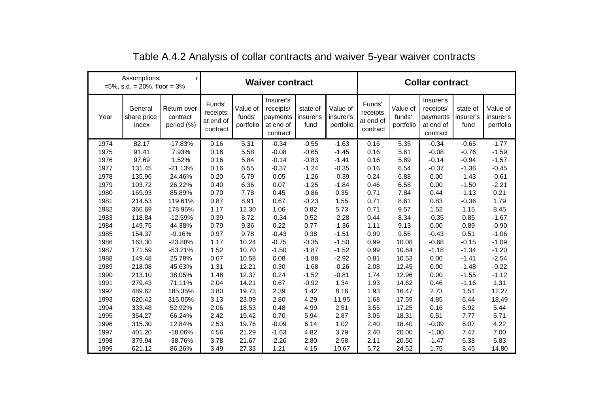|      | Assumptions:<br>$=5\%$ , s.d. = 20%, floor = 3% | r                                     |                                             |                                 | <b>Waiver contract</b>                                      |                               |                                    | <b>Collar contract</b>                      |                                 |                                                             |                               |                                    |
|------|-------------------------------------------------|---------------------------------------|---------------------------------------------|---------------------------------|-------------------------------------------------------------|-------------------------------|------------------------------------|---------------------------------------------|---------------------------------|-------------------------------------------------------------|-------------------------------|------------------------------------|
| Year | General<br>share price<br>index                 | Return over<br>contract<br>period (%) | Funds'<br>receipts<br>at end of<br>contract | Value of<br>funds'<br>portfolio | Insurer's<br>receipts/<br>payments<br>at end of<br>contract | state of<br>insurer's<br>fund | Value of<br>insurer's<br>portfolio | Funds'<br>receipts<br>at end of<br>contract | Value of<br>funds'<br>portfolio | Insurer's<br>receipts/<br>payments<br>at end of<br>contract | state of<br>insurer's<br>fund | Value of<br>insurer's<br>portfolio |
| 1974 | 82.17                                           | $-17.83%$                             | 0.16                                        | 5.31                            | $-0.34$                                                     | $-0.55$                       | $-1.63$                            | 0.16                                        | 5.35                            | $-0.34$                                                     | $-0.65$                       | $-1.77$                            |
| 1975 | 91.41                                           | 7.93%                                 | 0.16                                        | 5.58                            | $-0.08$                                                     | $-0.65$                       | $-1.45$                            | 0.16                                        | 5.61                            | $-0.08$                                                     | $-0.76$                       | $-1.59$                            |
| 1976 | 97.69                                           | 1.52%                                 | 0.16                                        | 5.84                            | $-0.14$                                                     | $-0.83$                       | $-1.41$                            | 0.16                                        | 5.89                            | $-0.14$                                                     | $-0.94$                       | $-1.57$                            |
| 1977 | 131.45                                          | $-21.13%$                             | 0.16                                        | 6.55                            | $-0.37$                                                     | $-1.24$                       | $-0.35$                            | 0.16                                        | 6.54                            | $-0.37$                                                     | $-1.36$                       | $-0.45$                            |
| 1978 | 135.96                                          | 24.46%                                | 0.20                                        | 6.79                            | 0.05                                                        | $-1.26$                       | $-0.39$                            | 0.24                                        | 6.88                            | 0.00                                                        | $-1.43$                       | $-0.61$                            |
| 1979 | 103.72                                          | 26.22%                                | 0.40                                        | 6.36                            | 0.07                                                        | $-1.25$                       | $-1.84$                            | 0.46                                        | 6.58                            | 0.00                                                        | $-1.50$                       | $-2.21$                            |
| 1980 | 169.93                                          | 85.89%                                | 0.70                                        | 7.78                            | 0.45                                                        | $-0.86$                       | 0.35                               | 0.71                                        | 7.84                            | 0.44                                                        | $-1.13$                       | 0.21                               |
| 1981 | 214.53                                          | 119.61%                               | 0.87                                        | 8.91                            | 0.67                                                        | $-0.23$                       | 1.55                               | 0.71                                        | 8.61                            | 0.83                                                        | $-0.36$                       | 1.79                               |
| 1982 | 366.69                                          | 178.95%                               | 1.17                                        | 12.30                           | 1.06                                                        | 0.82                          | 5.73                               | 0.71                                        | 9.57                            | 1.52                                                        | 1.15                          | 8.45                               |
| 1983 | 118.84                                          | $-12.59%$                             | 0.39                                        | 8.72                            | $-0.34$                                                     | 0.52                          | $-2.28$                            | 0.44                                        | 8.34                            | $-0.35$                                                     | 0.85                          | $-1.67$                            |
| 1984 | 149.75                                          | 44.38%                                | 0.79                                        | 9.36                            | 0.22                                                        | 0.77                          | $-1.36$                            | 1.11                                        | 9.13                            | 0.00                                                        | 0.89                          | $-0.90$                            |
| 1985 | 154.37                                          | $-9.16%$                              | 0.97                                        | 9.78                            | $-0.43$                                                     | 0.38                          | $-1.51$                            | 0.99                                        | 9.56                            | $-0.43$                                                     | 0.51                          | $-1.06$                            |
| 1986 | 163.30                                          | $-23.88%$                             | 1.17                                        | 10.24                           | $-0.75$                                                     | $-0.35$                       | $-1.50$                            | 0.99                                        | 10.08                           | $-0.68$                                                     | $-0.15$                       | $-1.09$                            |
| 1987 | 171.59                                          | $-53.21%$                             | 1.52                                        | 10.70                           | $-1.50$                                                     | $-1.87$                       | $-1.52$                            | 0.99                                        | 10.64                           | $-1.18$                                                     | $-1.34$                       | $-1.20$                            |
| 1988 | 149.48                                          | 25.78%                                | 0.67                                        | 10.58                           | 0.08                                                        | $-1.88$                       | $-2.92$                            | 0.81                                        | 10.53                           | 0.00                                                        | $-1.41$                       | $-2.54$                            |
| 1989 | 218.08                                          | 45.63%                                | 1.31                                        | 12.21                           | 0.30                                                        | $-1.68$                       | $-0.26$                            | 2.08                                        | 12.45                           | 0.00                                                        | $-1.48$                       | $-0.22$                            |
| 1990 | 213.10                                          | 38.05%                                | 1.48                                        | 12.37                           | 0.24                                                        | $-1.52$                       | $-0.81$                            | 1.74                                        | 12.96                           | 0.00                                                        | $-1.55$                       | $-1.12$                            |
| 1991 | 279.43                                          | 71.11%                                | 2.04                                        | 14.21                           | 0.67                                                        | $-0.92$                       | 1.34                               | 1.93                                        | 14.62                           | 0.46                                                        | $-1.16$                       | 1.31                               |
| 1992 | 489.62                                          | 185.35%                               | 3.80                                        | 19.73                           | 2.39                                                        | 1.42                          | 8.16                               | 1.93                                        | 16.47                           | 2.73                                                        | 1.51                          | 12.27                              |
| 1993 | 620.42                                          | 315.05%                               | 3.13                                        | 23.09                           | 2.80                                                        | 4.29                          | 11.95                              | 1.68                                        | 17.59                           | 4.85                                                        | 6.44                          | 18.49                              |
| 1994 | 333.48                                          | 52.92%                                | 2.06                                        | 18.53                           | 0.48                                                        | 4.99                          | 2.51                               | 3.55                                        | 17.25                           | 0.16                                                        | 6.92                          | 5.44                               |
| 1995 | 354.27                                          | 66.24%                                | 2.42                                        | 19.42                           | 0.70                                                        | 5.94                          | 2.87                               | 3.05                                        | 18.31                           | 0.51                                                        | 7.77                          | 5.71                               |
| 1996 | 315.30                                          | 12.84%                                | 2.53                                        | 19.76                           | $-0.09$                                                     | 6.14                          | 1.02                               | 2.40                                        | 18.40                           | $-0.09$                                                     | 8.07                          | 4.22                               |
| 1997 | 401.20                                          | $-18.06%$                             | 4.56                                        | 21.29                           | $-1.63$                                                     | 4.82                          | 3.79                               | 2.40                                        | 20.00                           | $-1.00$                                                     | 7.47                          | 7.00                               |
| 1998 | 379.94                                          | -38.76%                               | 3.78                                        | 21.67                           | $-2.26$                                                     | 2.80                          | 2.58                               | 2.11                                        | 20.50                           | $-1.47$                                                     | 6.38                          | 5.83                               |
| 1999 | 621.12                                          | 86.26%                                | 3.49                                        | 27.33                           | 1.21                                                        | 4.15                          | 10.67                              | 5.72                                        | 24.52                           | 1.75                                                        | 8.45                          | 14.80                              |

| Table A.4.2 Analysis of collar contracts and waiver 5-year waiver contracts |  |  |  |  |  |
|-----------------------------------------------------------------------------|--|--|--|--|--|
|-----------------------------------------------------------------------------|--|--|--|--|--|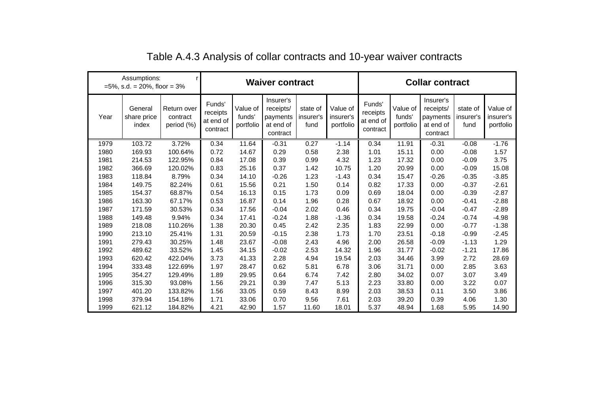| Assumptions:<br>$=5\%$ , s.d. = 20%, floor = 3% |                                 |                                       | <b>Waiver contract</b>                      |                                 |                                                             |                               |                                    |                                             | <b>Collar contract</b>          |                                                             |                               |                                    |  |
|-------------------------------------------------|---------------------------------|---------------------------------------|---------------------------------------------|---------------------------------|-------------------------------------------------------------|-------------------------------|------------------------------------|---------------------------------------------|---------------------------------|-------------------------------------------------------------|-------------------------------|------------------------------------|--|
| Year                                            | General<br>share price<br>index | Return over<br>contract<br>period (%) | Funds'<br>receipts<br>at end of<br>contract | Value of<br>funds'<br>portfolio | Insurer's<br>receipts/<br>payments<br>at end of<br>contract | state of<br>insurer's<br>fund | Value of<br>insurer's<br>portfolio | Funds'<br>receipts<br>at end of<br>contract | Value of<br>funds'<br>portfolio | Insurer's<br>receipts/<br>payments<br>at end of<br>contract | state of<br>insurer's<br>fund | Value of<br>insurer's<br>portfolio |  |
| 1979                                            | 103.72                          | 3.72%                                 | 0.34                                        | 11.64                           | $-0.31$                                                     | 0.27                          | $-1.14$                            | 0.34                                        | 11.91                           | $-0.31$                                                     | $-0.08$                       | $-1.76$                            |  |
| 1980                                            | 169.93                          | 100.64%                               | 0.72                                        | 14.67                           | 0.29                                                        | 0.58                          | 2.38                               | 1.01                                        | 15.11                           | 0.00                                                        | $-0.08$                       | 1.57                               |  |
| 1981                                            | 214.53                          | 122.95%                               | 0.84                                        | 17.08                           | 0.39                                                        | 0.99                          | 4.32                               | 1.23                                        | 17.32                           | 0.00                                                        | $-0.09$                       | 3.75                               |  |
| 1982                                            | 366.69                          | 120.02%                               | 0.83                                        | 25.16                           | 0.37                                                        | 1.42                          | 10.75                              | 1.20                                        | 20.99                           | 0.00                                                        | $-0.09$                       | 15.08                              |  |
| 1983                                            | 118.84                          | 8.79%                                 | 0.34                                        | 14.10                           | $-0.26$                                                     | 1.23                          | $-1.43$                            | 0.34                                        | 15.47                           | $-0.26$                                                     | $-0.35$                       | $-3.85$                            |  |
| 1984                                            | 149.75                          | 82.24%                                | 0.61                                        | 15.56                           | 0.21                                                        | 1.50                          | 0.14                               | 0.82                                        | 17.33                           | 0.00                                                        | $-0.37$                       | $-2.61$                            |  |
| 1985                                            | 154.37                          | 68.87%                                | 0.54                                        | 16.13                           | 0.15                                                        | 1.73                          | 0.09                               | 0.69                                        | 18.04                           | 0.00                                                        | $-0.39$                       | $-2.87$                            |  |
| 1986                                            | 163.30                          | 67.17%                                | 0.53                                        | 16.87                           | 0.14                                                        | 1.96                          | 0.28                               | 0.67                                        | 18.92                           | 0.00                                                        | $-0.41$                       | $-2.88$                            |  |
| 1987                                            | 171.59                          | 30.53%                                | 0.34                                        | 17.56                           | $-0.04$                                                     | 2.02                          | 0.46                               | 0.34                                        | 19.75                           | $-0.04$                                                     | $-0.47$                       | $-2.89$                            |  |
| 1988                                            | 149.48                          | 9.94%                                 | 0.34                                        | 17.41                           | $-0.24$                                                     | 1.88                          | $-1.36$                            | 0.34                                        | 19.58                           | $-0.24$                                                     | $-0.74$                       | $-4.98$                            |  |
| 1989                                            | 218.08                          | 110.26%                               | 1.38                                        | 20.30                           | 0.45                                                        | 2.42                          | 2.35                               | 1.83                                        | 22.99                           | 0.00                                                        | $-0.77$                       | $-1.38$                            |  |
| 1990                                            | 213.10                          | 25.41%                                | 1.31                                        | 20.59                           | $-0.15$                                                     | 2.38                          | 1.73                               | 1.70                                        | 23.51                           | $-0.18$                                                     | $-0.99$                       | $-2.45$                            |  |
| 1991                                            | 279.43                          | 30.25%                                | 1.48                                        | 23.67                           | $-0.08$                                                     | 2.43                          | 4.96                               | 2.00                                        | 26.58                           | $-0.09$                                                     | $-1.13$                       | 1.29                               |  |
| 1992                                            | 489.62                          | 33.52%                                | 1.45                                        | 34.15                           | $-0.02$                                                     | 2.53                          | 14.32                              | 1.96                                        | 31.77                           | $-0.02$                                                     | $-1.21$                       | 17.86                              |  |
| 1993                                            | 620.42                          | 422.04%                               | 3.73                                        | 41.33                           | 2.28                                                        | 4.94                          | 19.54                              | 2.03                                        | 34.46                           | 3.99                                                        | 2.72                          | 28.69                              |  |
| 1994                                            | 333.48                          | 122.69%                               | 1.97                                        | 28.47                           | 0.62                                                        | 5.81                          | 6.78                               | 3.06                                        | 31.71                           | 0.00                                                        | 2.85                          | 3.63                               |  |
| 1995                                            | 354.27                          | 129.49%                               | 1.89                                        | 29.95                           | 0.64                                                        | 6.74                          | 7.42                               | 2.80                                        | 34.02                           | 0.07                                                        | 3.07                          | 3.49                               |  |
| 1996                                            | 315.30                          | 93.08%                                | 1.56                                        | 29.21                           | 0.39                                                        | 7.47                          | 5.13                               | 2.23                                        | 33.80                           | 0.00                                                        | 3.22                          | 0.07                               |  |
| 1997                                            | 401.20                          | 133.82%                               | 1.56                                        | 33.05                           | 0.59                                                        | 8.43                          | 8.99                               | 2.03                                        | 38.53                           | 0.11                                                        | 3.50                          | 3.86                               |  |
| 1998                                            | 379.94                          | 154.18%                               | 1.71                                        | 33.06                           | 0.70                                                        | 9.56                          | 7.61                               | 2.03                                        | 39.20                           | 0.39                                                        | 4.06                          | 1.30                               |  |
| 1999                                            | 621.12                          | 184.82%                               | 4.21                                        | 42.90                           | 1.57                                                        | 11.60                         | 18.01                              | 5.37                                        | 48.94                           | 1.68                                                        | 5.95                          | 14.90                              |  |

Table A.4.3 Analysis of collar contracts and 10-year waiver contracts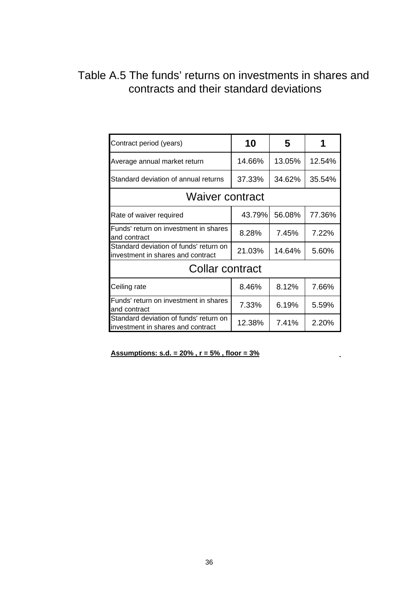# Table A.5 The funds' returns on investments in shares and contracts and their standard deviations

| Contract period (years)                                                     | 10     | 5      |        |
|-----------------------------------------------------------------------------|--------|--------|--------|
| Average annual market return                                                | 14.66% | 13.05% | 12.54% |
| Standard deviation of annual returns                                        | 37.33% | 34.62% | 35.54% |
| <b>Waiver contract</b>                                                      |        |        |        |
| Rate of waiver required                                                     | 43.79% | 56.08% | 77.36% |
| Funds' return on investment in shares<br>and contract                       | 8.28%  | 7.45%  | 7.22%  |
| Standard deviation of funds' return on<br>investment in shares and contract | 21.03% | 14.64% | 5.60%  |
| Collar contract                                                             |        |        |        |
| Ceiling rate                                                                | 8.46%  | 8.12%  | 7.66%  |
| Funds' return on investment in shares<br>and contract                       | 7.33%  | 6.19%  | 5.59%  |
| Standard deviation of funds' return on<br>investment in shares and contract | 12.38% | 7.41%  | 2.20%  |

**Assumptions: s.d. = 20% ,**  $r = 5%$  **, floor = 3%**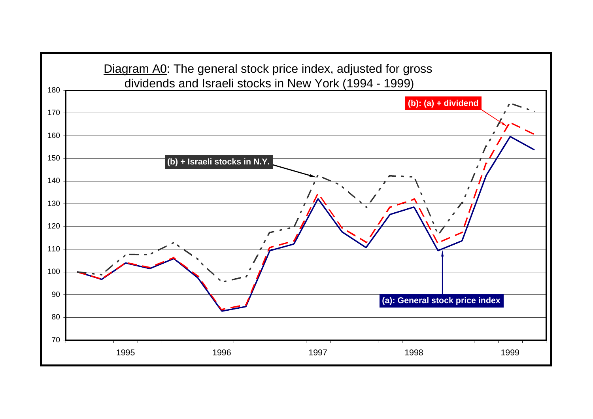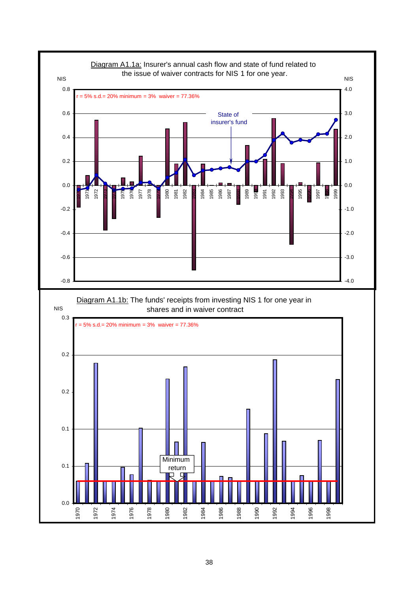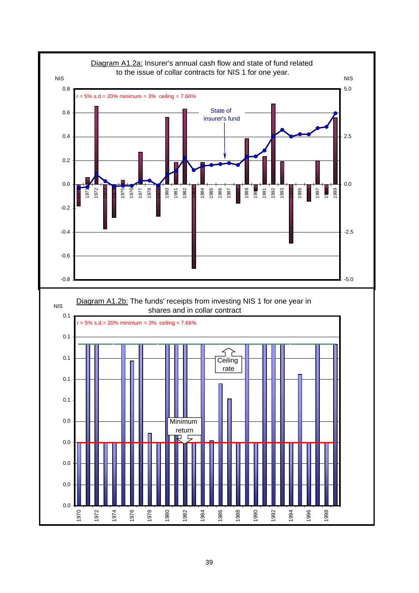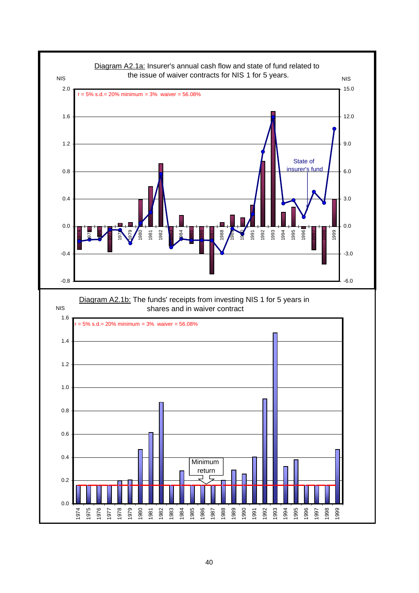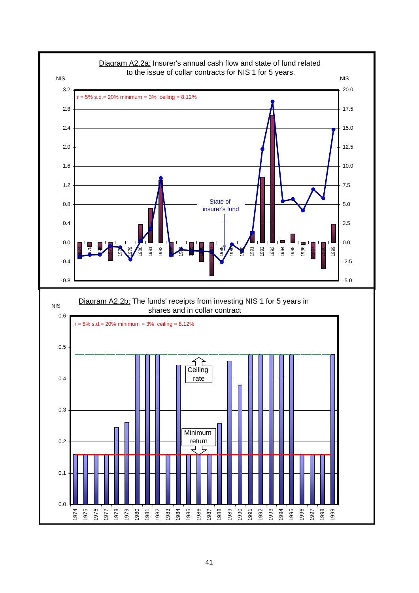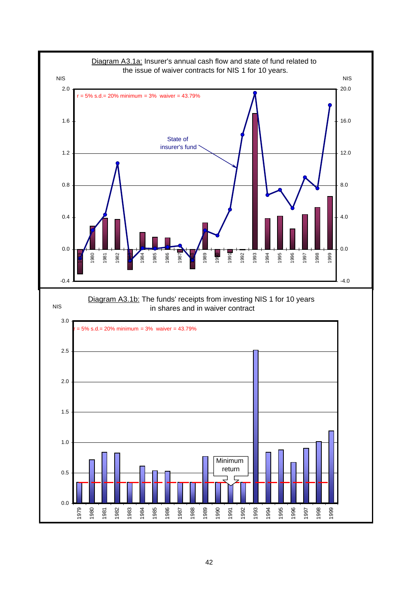